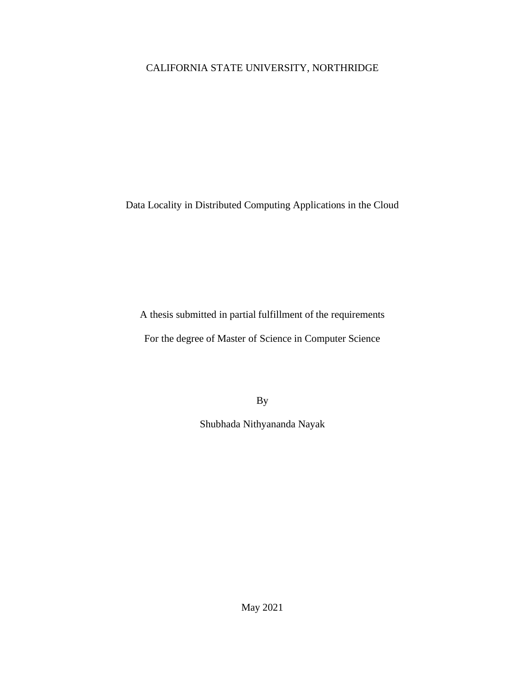# CALIFORNIA STATE UNIVERSITY, NORTHRIDGE

Data Locality in Distributed Computing Applications in the Cloud

A thesis submitted in partial fulfillment of the requirements

For the degree of Master of Science in Computer Science

By

Shubhada Nithyananda Nayak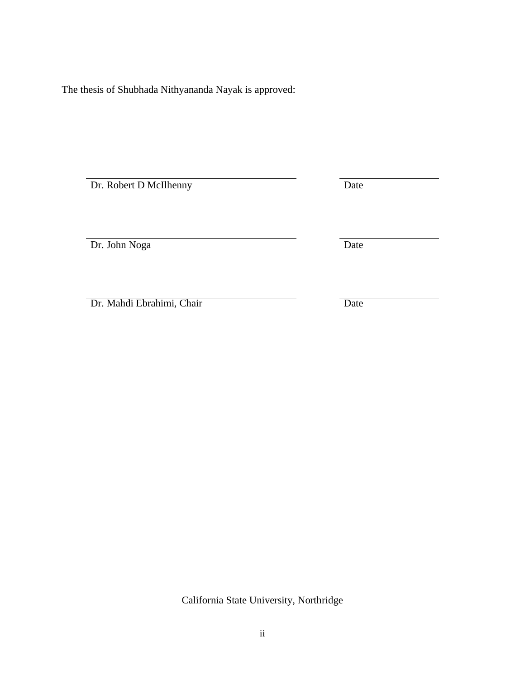<span id="page-1-0"></span>The thesis of Shubhada Nithyananda Nayak is approved:

Dr. Robert D McIlhenny Date

Dr. John Noga Date

Dr. Mahdi Ebrahimi, Chair Date

California State University, Northridge

ii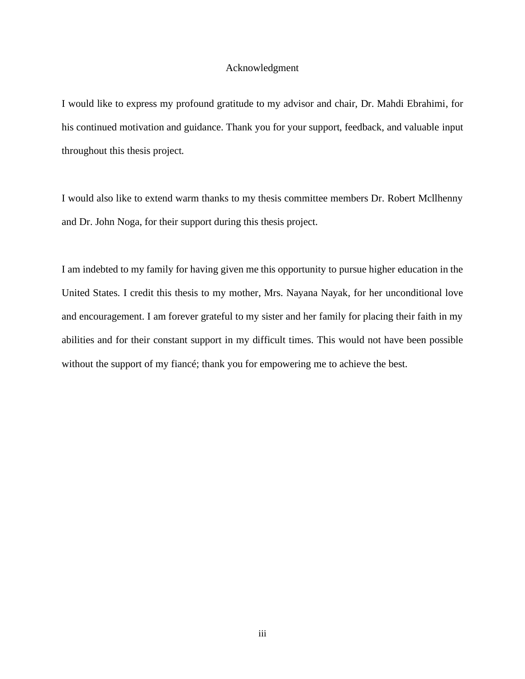#### Acknowledgment

<span id="page-2-0"></span>I would like to express my profound gratitude to my advisor and chair, Dr. Mahdi Ebrahimi, for his continued motivation and guidance. Thank you for your support, feedback, and valuable input throughout this thesis project.

I would also like to extend warm thanks to my thesis committee members Dr. Robert Mcllhenny and Dr. John Noga, for their support during this thesis project.

I am indebted to my family for having given me this opportunity to pursue higher education in the United States. I credit this thesis to my mother, Mrs. Nayana Nayak, for her unconditional love and encouragement. I am forever grateful to my sister and her family for placing their faith in my abilities and for their constant support in my difficult times. This would not have been possible without the support of my fiancé; thank you for empowering me to achieve the best.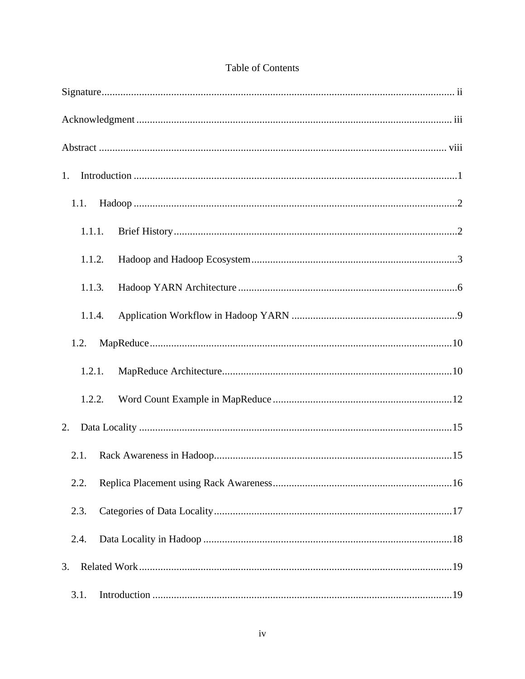| 1.     |
|--------|
| 1.1.   |
| 1.1.1. |
| 1.1.2. |
| 1.1.3. |
| 1.1.4. |
| 1.2.   |
| 1.2.1. |
| 1.2.2. |
| 2.     |
| 2.1.   |
| 2.2.   |
| 2.3.   |
| 2.4.   |
| 3.     |
| 3.1.   |

# Table of Contents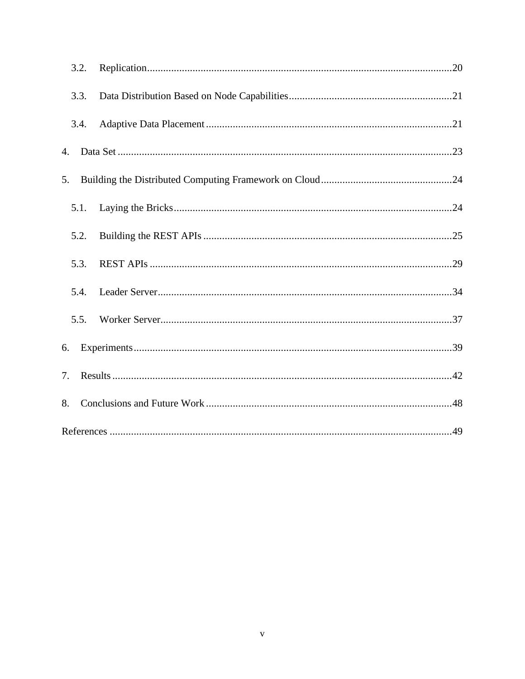| 3.2. |  |
|------|--|
| 3.3. |  |
| 3.4. |  |
| 4.   |  |
| 5.   |  |
| 5.1. |  |
| 5.2. |  |
| 5.3. |  |
| 5.4. |  |
| 5.5. |  |
| 6.   |  |
| 7.   |  |
| 8.   |  |
|      |  |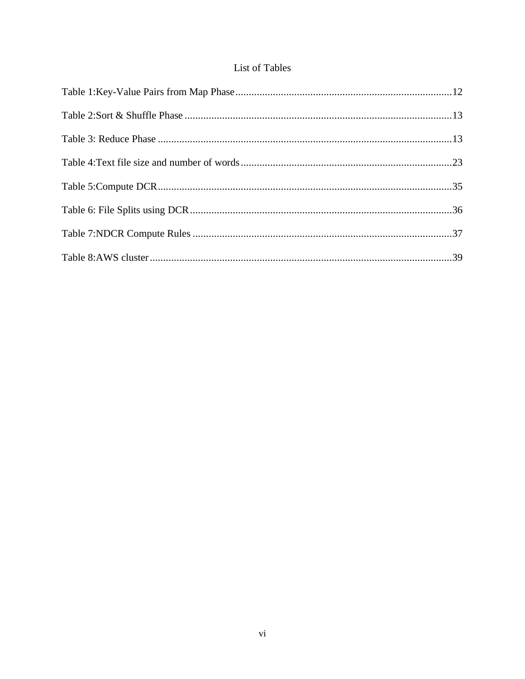# List of Tables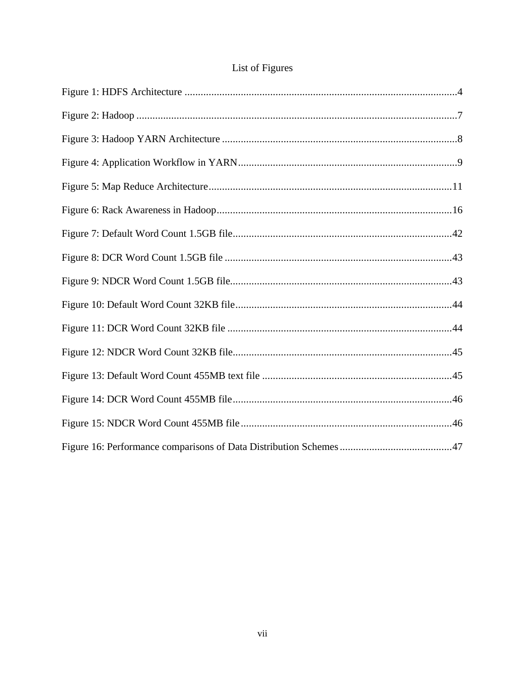# List of Figures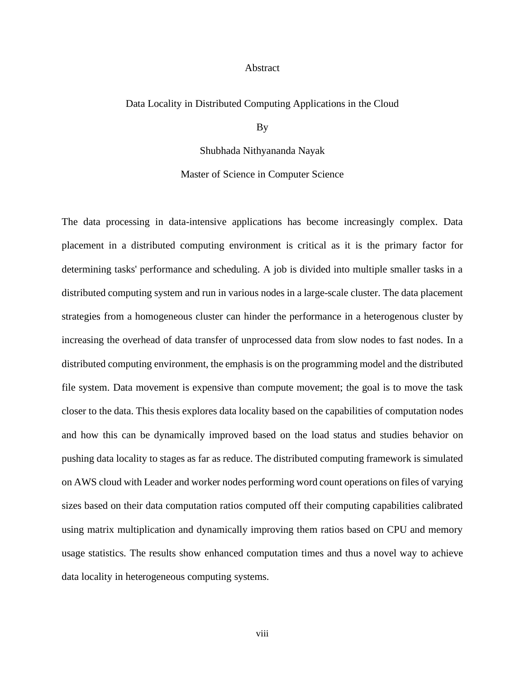#### Abstract

#### <span id="page-7-0"></span>Data Locality in Distributed Computing Applications in the Cloud

By

Shubhada Nithyananda Nayak

Master of Science in Computer Science

The data processing in data-intensive applications has become increasingly complex. Data placement in a distributed computing environment is critical as it is the primary factor for determining tasks' performance and scheduling. A job is divided into multiple smaller tasks in a distributed computing system and run in various nodes in a large-scale cluster. The data placement strategies from a homogeneous cluster can hinder the performance in a heterogenous cluster by increasing the overhead of data transfer of unprocessed data from slow nodes to fast nodes. In a distributed computing environment, the emphasis is on the programming model and the distributed file system. Data movement is expensive than compute movement; the goal is to move the task closer to the data. This thesis explores data locality based on the capabilities of computation nodes and how this can be dynamically improved based on the load status and studies behavior on pushing data locality to stages as far as reduce. The distributed computing framework is simulated on AWS cloud with Leader and worker nodes performing word count operations on files of varying sizes based on their data computation ratios computed off their computing capabilities calibrated using matrix multiplication and dynamically improving them ratios based on CPU and memory usage statistics. The results show enhanced computation times and thus a novel way to achieve data locality in heterogeneous computing systems.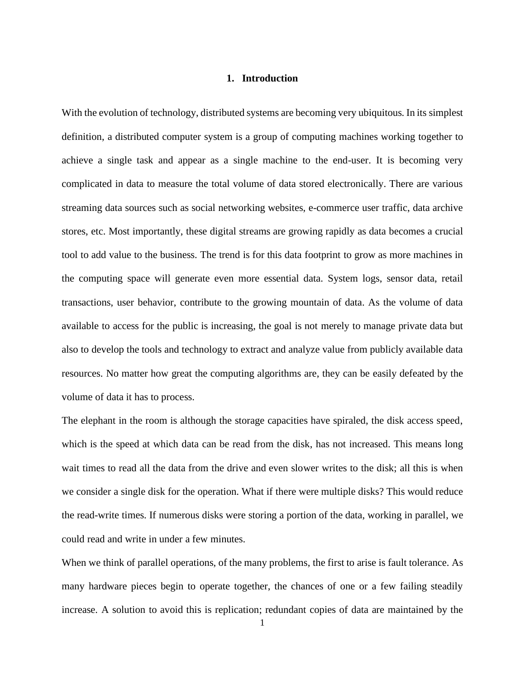## **1. Introduction**

<span id="page-8-0"></span>With the evolution of technology, distributed systems are becoming very ubiquitous. In its simplest definition, a distributed computer system is a group of computing machines working together to achieve a single task and appear as a single machine to the end-user. It is becoming very complicated in data to measure the total volume of data stored electronically. There are various streaming data sources such as social networking websites, e-commerce user traffic, data archive stores, etc. Most importantly, these digital streams are growing rapidly as data becomes a crucial tool to add value to the business. The trend is for this data footprint to grow as more machines in the computing space will generate even more essential data. System logs, sensor data, retail transactions, user behavior, contribute to the growing mountain of data. As the volume of data available to access for the public is increasing, the goal is not merely to manage private data but also to develop the tools and technology to extract and analyze value from publicly available data resources. No matter how great the computing algorithms are, they can be easily defeated by the volume of data it has to process.

The elephant in the room is although the storage capacities have spiraled, the disk access speed, which is the speed at which data can be read from the disk, has not increased. This means long wait times to read all the data from the drive and even slower writes to the disk; all this is when we consider a single disk for the operation. What if there were multiple disks? This would reduce the read-write times. If numerous disks were storing a portion of the data, working in parallel, we could read and write in under a few minutes.

When we think of parallel operations, of the many problems, the first to arise is fault tolerance. As many hardware pieces begin to operate together, the chances of one or a few failing steadily increase. A solution to avoid this is replication; redundant copies of data are maintained by the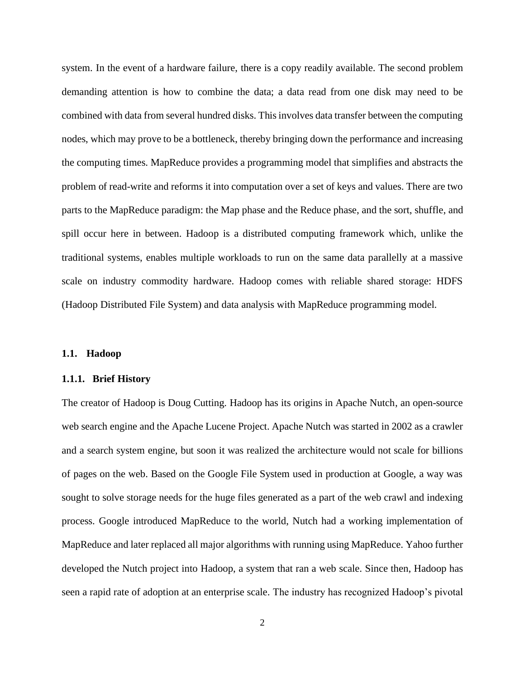system. In the event of a hardware failure, there is a copy readily available. The second problem demanding attention is how to combine the data; a data read from one disk may need to be combined with data from several hundred disks. This involves data transfer between the computing nodes, which may prove to be a bottleneck, thereby bringing down the performance and increasing the computing times. MapReduce provides a programming model that simplifies and abstracts the problem of read-write and reforms it into computation over a set of keys and values. There are two parts to the MapReduce paradigm: the Map phase and the Reduce phase, and the sort, shuffle, and spill occur here in between. Hadoop is a distributed computing framework which, unlike the traditional systems, enables multiple workloads to run on the same data parallelly at a massive scale on industry commodity hardware. Hadoop comes with reliable shared storage: HDFS (Hadoop Distributed File System) and data analysis with MapReduce programming model.

#### <span id="page-9-0"></span>**1.1. Hadoop**

#### <span id="page-9-1"></span>**1.1.1. Brief History**

The creator of Hadoop is Doug Cutting. Hadoop has its origins in Apache Nutch, an open-source web search engine and the Apache Lucene Project. Apache Nutch was started in 2002 as a crawler and a search system engine, but soon it was realized the architecture would not scale for billions of pages on the web. Based on the Google File System used in production at Google, a way was sought to solve storage needs for the huge files generated as a part of the web crawl and indexing process. Google introduced MapReduce to the world, Nutch had a working implementation of MapReduce and later replaced all major algorithms with running using MapReduce. Yahoo further developed the Nutch project into Hadoop, a system that ran a web scale. Since then, Hadoop has seen a rapid rate of adoption at an enterprise scale. The industry has recognized Hadoop's pivotal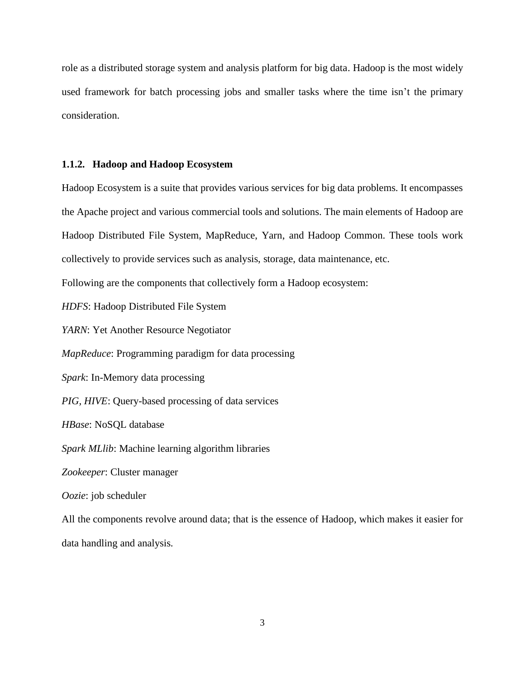role as a distributed storage system and analysis platform for big data. Hadoop is the most widely used framework for batch processing jobs and smaller tasks where the time isn't the primary consideration.

#### <span id="page-10-0"></span>**1.1.2. Hadoop and Hadoop Ecosystem**

Hadoop Ecosystem is a suite that provides various services for big data problems. It encompasses the Apache project and various commercial tools and solutions. The main elements of Hadoop are Hadoop Distributed File System, MapReduce, Yarn, and Hadoop Common. These tools work collectively to provide services such as analysis, storage, data maintenance, etc. Following are the components that collectively form a Hadoop ecosystem: *HDFS*: Hadoop Distributed File System *YARN*: Yet Another Resource Negotiator *MapReduce*: Programming paradigm for data processing *Spark*: In-Memory data processing *PIG, HIVE*: Query-based processing of data services *HBase*: NoSQL database *Spark MLlib*: Machine learning algorithm libraries *Zookeeper*: Cluster manager *Oozie*: job scheduler All the components revolve around data; that is the essence of Hadoop, which makes it easier for

data handling and analysis.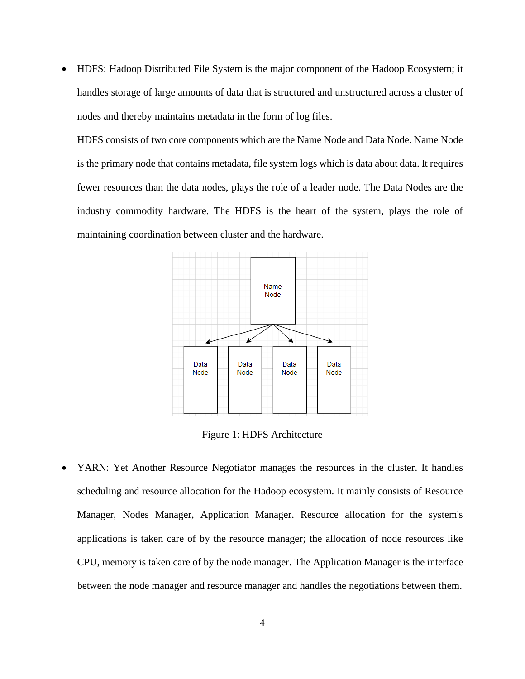• HDFS: Hadoop Distributed File System is the major component of the Hadoop Ecosystem; it handles storage of large amounts of data that is structured and unstructured across a cluster of nodes and thereby maintains metadata in the form of log files.

HDFS consists of two core components which are the Name Node and Data Node. Name Node is the primary node that contains metadata, file system logs which is data about data. It requires fewer resources than the data nodes, plays the role of a leader node. The Data Nodes are the industry commodity hardware. The HDFS is the heart of the system, plays the role of maintaining coordination between cluster and the hardware.



Figure 1: HDFS Architecture

<span id="page-11-0"></span>• YARN: Yet Another Resource Negotiator manages the resources in the cluster. It handles scheduling and resource allocation for the Hadoop ecosystem. It mainly consists of Resource Manager, Nodes Manager, Application Manager. Resource allocation for the system's applications is taken care of by the resource manager; the allocation of node resources like CPU, memory is taken care of by the node manager. The Application Manager is the interface between the node manager and resource manager and handles the negotiations between them.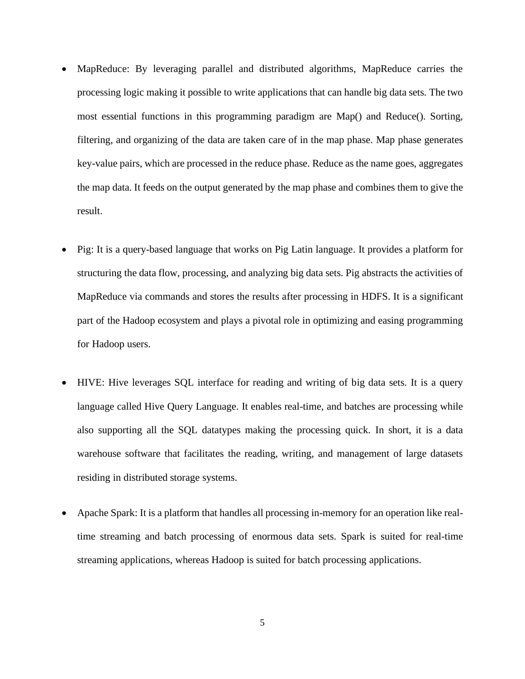- MapReduce: By leveraging parallel and distributed algorithms, MapReduce carries the processing logic making it possible to write applications that can handle big data sets. The two most essential functions in this programming paradigm are Map() and Reduce(). Sorting, filtering, and organizing of the data are taken care of in the map phase. Map phase generates key-value pairs, which are processed in the reduce phase. Reduce as the name goes, aggregates the map data. It feeds on the output generated by the map phase and combines them to give the result.
- Pig: It is a query-based language that works on Pig Latin language. It provides a platform for structuring the data flow, processing, and analyzing big data sets. Pig abstracts the activities of MapReduce via commands and stores the results after processing in HDFS. It is a significant part of the Hadoop ecosystem and plays a pivotal role in optimizing and easing programming for Hadoop users.
- HIVE: Hive leverages SQL interface for reading and writing of big data sets. It is a query language called Hive Query Language. It enables real-time, and batches are processing while also supporting all the SQL datatypes making the processing quick. In short, it is a data warehouse software that facilitates the reading, writing, and management of large datasets residing in distributed storage systems.
- Apache Spark: It is a platform that handles all processing in-memory for an operation like realtime streaming and batch processing of enormous data sets. Spark is suited for real-time streaming applications, whereas Hadoop is suited for batch processing applications.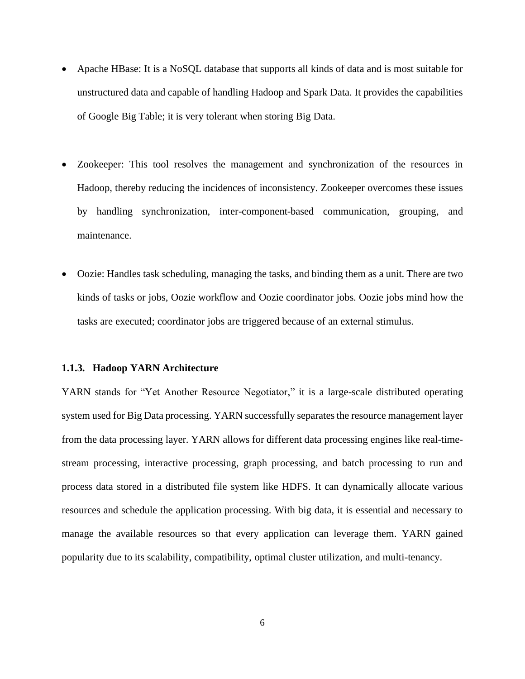- Apache HBase: It is a NoSQL database that supports all kinds of data and is most suitable for unstructured data and capable of handling Hadoop and Spark Data. It provides the capabilities of Google Big Table; it is very tolerant when storing Big Data.
- Zookeeper: This tool resolves the management and synchronization of the resources in Hadoop, thereby reducing the incidences of inconsistency. Zookeeper overcomes these issues by handling synchronization, inter-component-based communication, grouping, and maintenance.
- Oozie: Handles task scheduling, managing the tasks, and binding them as a unit. There are two kinds of tasks or jobs, Oozie workflow and Oozie coordinator jobs. Oozie jobs mind how the tasks are executed; coordinator jobs are triggered because of an external stimulus.

#### <span id="page-13-0"></span>**1.1.3. Hadoop YARN Architecture**

YARN stands for "Yet Another Resource Negotiator," it is a large-scale distributed operating system used for Big Data processing. YARN successfully separates the resource management layer from the data processing layer. YARN allows for different data processing engines like real-timestream processing, interactive processing, graph processing, and batch processing to run and process data stored in a distributed file system like HDFS. It can dynamically allocate various resources and schedule the application processing. With big data, it is essential and necessary to manage the available resources so that every application can leverage them. YARN gained popularity due to its scalability, compatibility, optimal cluster utilization, and multi-tenancy.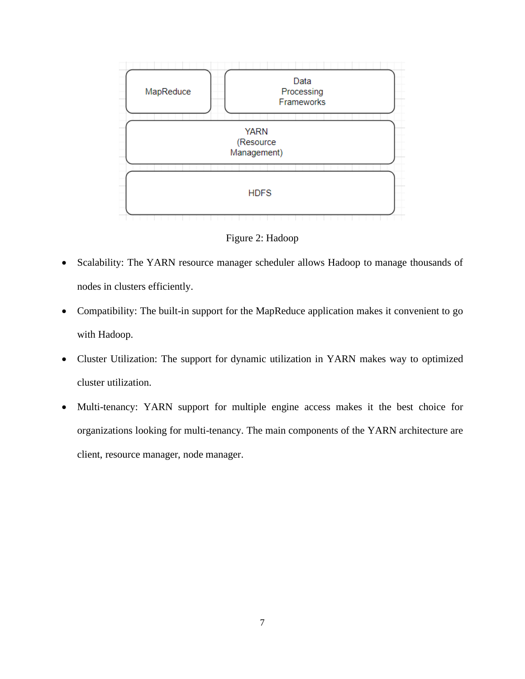

Figure 2: Hadoop

- <span id="page-14-0"></span>• Scalability: The YARN resource manager scheduler allows Hadoop to manage thousands of nodes in clusters efficiently.
- Compatibility: The built-in support for the MapReduce application makes it convenient to go with Hadoop.
- Cluster Utilization: The support for dynamic utilization in YARN makes way to optimized cluster utilization.
- Multi-tenancy: YARN support for multiple engine access makes it the best choice for organizations looking for multi-tenancy. The main components of the YARN architecture are client, resource manager, node manager.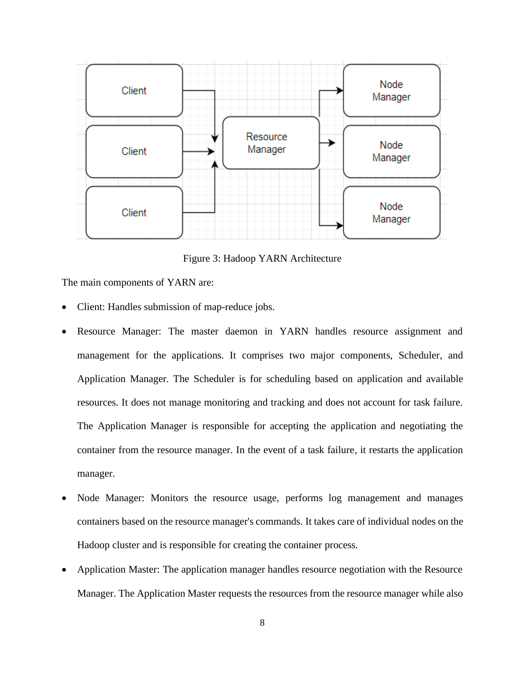

Figure 3: Hadoop YARN Architecture

<span id="page-15-0"></span>The main components of YARN are:

- Client: Handles submission of map-reduce jobs.
- Resource Manager: The master daemon in YARN handles resource assignment and management for the applications. It comprises two major components, Scheduler, and Application Manager. The Scheduler is for scheduling based on application and available resources. It does not manage monitoring and tracking and does not account for task failure. The Application Manager is responsible for accepting the application and negotiating the container from the resource manager. In the event of a task failure, it restarts the application manager.
- Node Manager: Monitors the resource usage, performs log management and manages containers based on the resource manager's commands. It takes care of individual nodes on the Hadoop cluster and is responsible for creating the container process.
- Application Master: The application manager handles resource negotiation with the Resource Manager. The Application Master requests the resources from the resource manager while also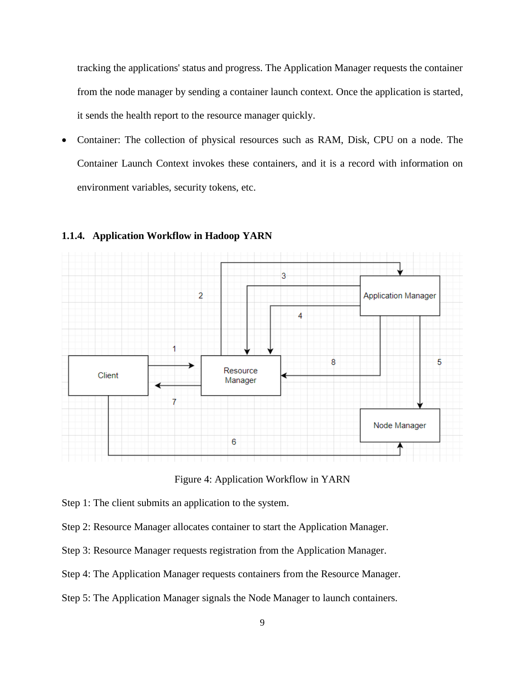tracking the applications' status and progress. The Application Manager requests the container from the node manager by sending a container launch context. Once the application is started, it sends the health report to the resource manager quickly.

• Container: The collection of physical resources such as RAM, Disk, CPU on a node. The Container Launch Context invokes these containers, and it is a record with information on environment variables, security tokens, etc.



#### <span id="page-16-0"></span>**1.1.4. Application Workflow in Hadoop YARN**

Figure 4: Application Workflow in YARN

<span id="page-16-1"></span>Step 1: The client submits an application to the system.

- Step 2: Resource Manager allocates container to start the Application Manager.
- Step 3: Resource Manager requests registration from the Application Manager.
- Step 4: The Application Manager requests containers from the Resource Manager.
- Step 5: The Application Manager signals the Node Manager to launch containers.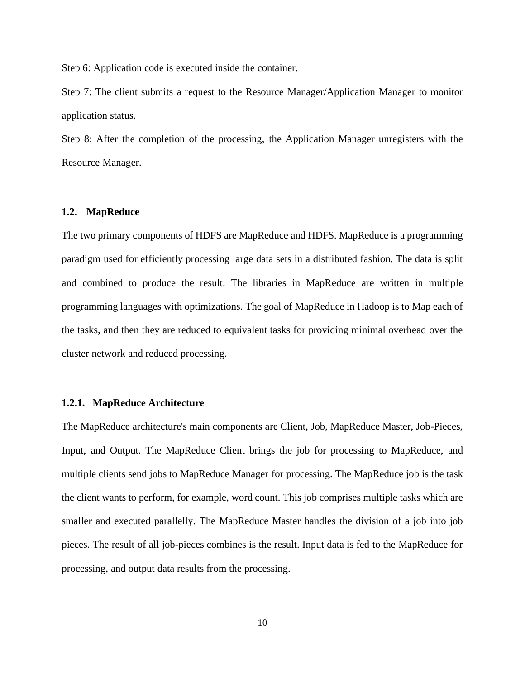Step 6: Application code is executed inside the container.

Step 7: The client submits a request to the Resource Manager/Application Manager to monitor application status.

Step 8: After the completion of the processing, the Application Manager unregisters with the Resource Manager.

#### <span id="page-17-0"></span>**1.2. MapReduce**

The two primary components of HDFS are MapReduce and HDFS. MapReduce is a programming paradigm used for efficiently processing large data sets in a distributed fashion. The data is split and combined to produce the result. The libraries in MapReduce are written in multiple programming languages with optimizations. The goal of MapReduce in Hadoop is to Map each of the tasks, and then they are reduced to equivalent tasks for providing minimal overhead over the cluster network and reduced processing.

#### <span id="page-17-1"></span>**1.2.1. MapReduce Architecture**

The MapReduce architecture's main components are Client, Job, MapReduce Master, Job-Pieces, Input, and Output. The MapReduce Client brings the job for processing to MapReduce, and multiple clients send jobs to MapReduce Manager for processing. The MapReduce job is the task the client wants to perform, for example, word count. This job comprises multiple tasks which are smaller and executed parallelly. The MapReduce Master handles the division of a job into job pieces. The result of all job-pieces combines is the result. Input data is fed to the MapReduce for processing, and output data results from the processing.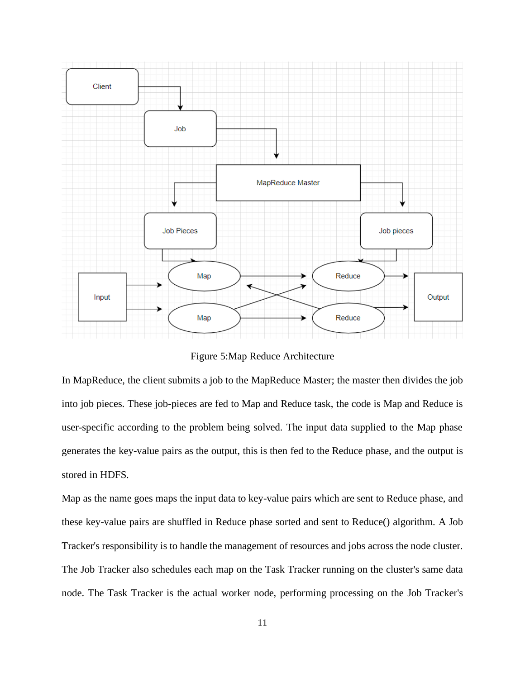

Figure 5:Map Reduce Architecture

<span id="page-18-0"></span>In MapReduce, the client submits a job to the MapReduce Master; the master then divides the job into job pieces. These job-pieces are fed to Map and Reduce task, the code is Map and Reduce is user-specific according to the problem being solved. The input data supplied to the Map phase generates the key-value pairs as the output, this is then fed to the Reduce phase, and the output is stored in HDFS.

Map as the name goes maps the input data to key-value pairs which are sent to Reduce phase, and these key-value pairs are shuffled in Reduce phase sorted and sent to Reduce() algorithm. A Job Tracker's responsibility is to handle the management of resources and jobs across the node cluster. The Job Tracker also schedules each map on the Task Tracker running on the cluster's same data node. The Task Tracker is the actual worker node, performing processing on the Job Tracker's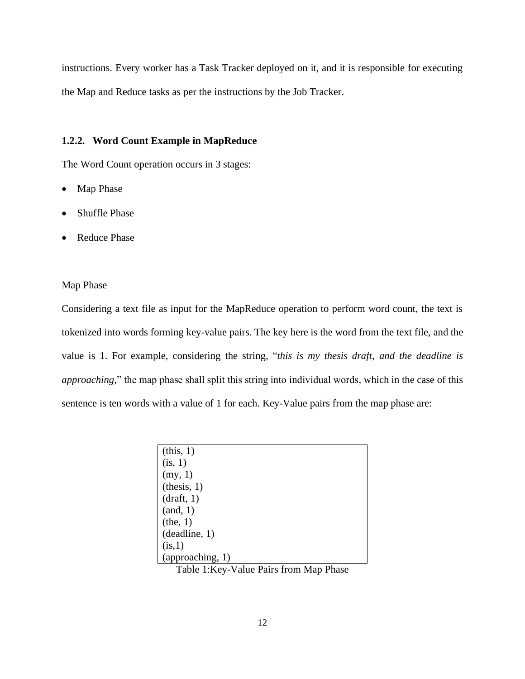instructions. Every worker has a Task Tracker deployed on it, and it is responsible for executing the Map and Reduce tasks as per the instructions by the Job Tracker.

#### <span id="page-19-0"></span>**1.2.2. Word Count Example in MapReduce**

The Word Count operation occurs in 3 stages:

- Map Phase
- Shuffle Phase
- Reduce Phase

#### Map Phase

Considering a text file as input for the MapReduce operation to perform word count, the text is tokenized into words forming key-value pairs. The key here is the word from the text file, and the value is 1. For example, considering the string, "*this is my thesis draft, and the deadline is approaching,*" the map phase shall split this string into individual words, which in the case of this sentence is ten words with a value of 1 for each. Key-Value pairs from the map phase are:

| (this, 1)        |
|------------------|
| (is, 1)          |
| (my, 1)          |
| (this, 1)        |
| draff, 1)        |
| (and, 1)         |
| (the, 1)         |
| (deadline, 1)    |
| (is,1)           |
| (approaching, 1) |

<span id="page-19-1"></span>Table 1:Key-Value Pairs from Map Phase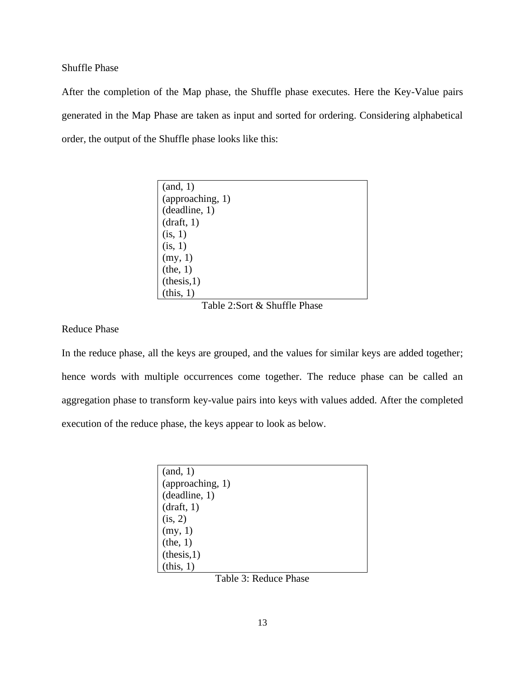Shuffle Phase

After the completion of the Map phase, the Shuffle phase executes. Here the Key-Value pairs generated in the Map Phase are taken as input and sorted for ordering. Considering alphabetical order, the output of the Shuffle phase looks like this:

| (and, 1)         |
|------------------|
| (approaching, 1) |
| (deadline, 1)    |
| (draff, 1)       |
| (is, 1)          |
| (is, 1)          |
| (my, 1)          |
| (the, 1)         |
| (this, 1)        |
| (this, 1)        |

Table 2:Sort & Shuffle Phase

<span id="page-20-0"></span>Reduce Phase

In the reduce phase, all the keys are grouped, and the values for similar keys are added together; hence words with multiple occurrences come together. The reduce phase can be called an aggregation phase to transform key-value pairs into keys with values added. After the completed execution of the reduce phase, the keys appear to look as below.

<span id="page-20-1"></span>

Table 3: Reduce Phase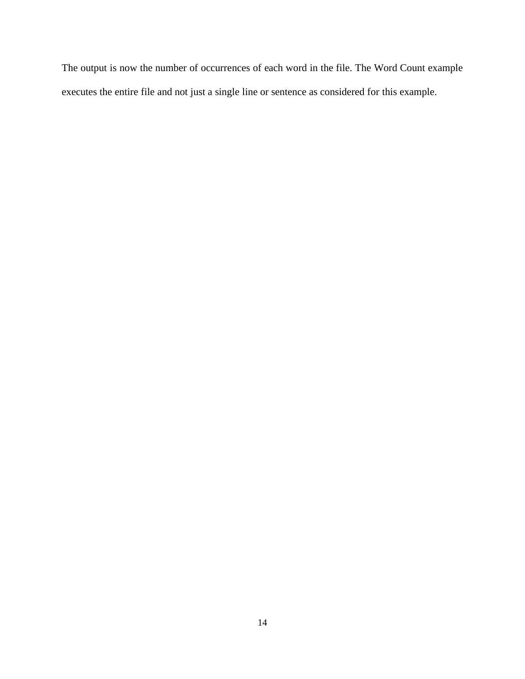The output is now the number of occurrences of each word in the file. The Word Count example executes the entire file and not just a single line or sentence as considered for this example.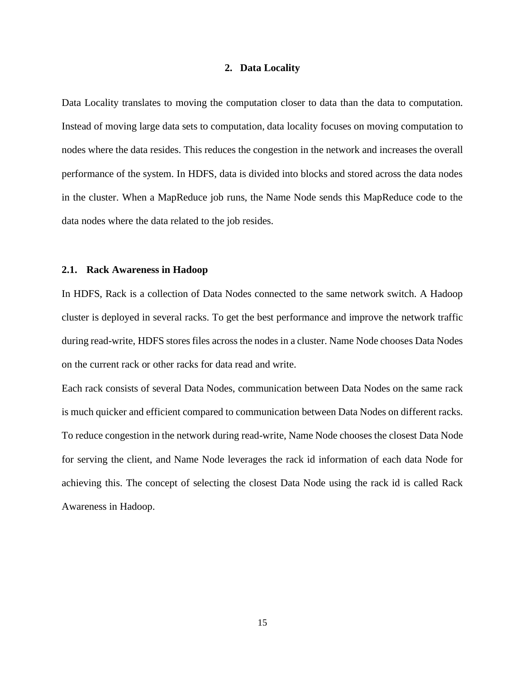#### **2. Data Locality**

<span id="page-22-0"></span>Data Locality translates to moving the computation closer to data than the data to computation. Instead of moving large data sets to computation, data locality focuses on moving computation to nodes where the data resides. This reduces the congestion in the network and increases the overall performance of the system. In HDFS, data is divided into blocks and stored across the data nodes in the cluster. When a MapReduce job runs, the Name Node sends this MapReduce code to the data nodes where the data related to the job resides.

#### <span id="page-22-1"></span>**2.1. Rack Awareness in Hadoop**

In HDFS, Rack is a collection of Data Nodes connected to the same network switch. A Hadoop cluster is deployed in several racks. To get the best performance and improve the network traffic during read-write, HDFS stores files across the nodes in a cluster. Name Node chooses Data Nodes on the current rack or other racks for data read and write.

Each rack consists of several Data Nodes, communication between Data Nodes on the same rack is much quicker and efficient compared to communication between Data Nodes on different racks. To reduce congestion in the network during read-write, Name Node chooses the closest Data Node for serving the client, and Name Node leverages the rack id information of each data Node for achieving this. The concept of selecting the closest Data Node using the rack id is called Rack Awareness in Hadoop.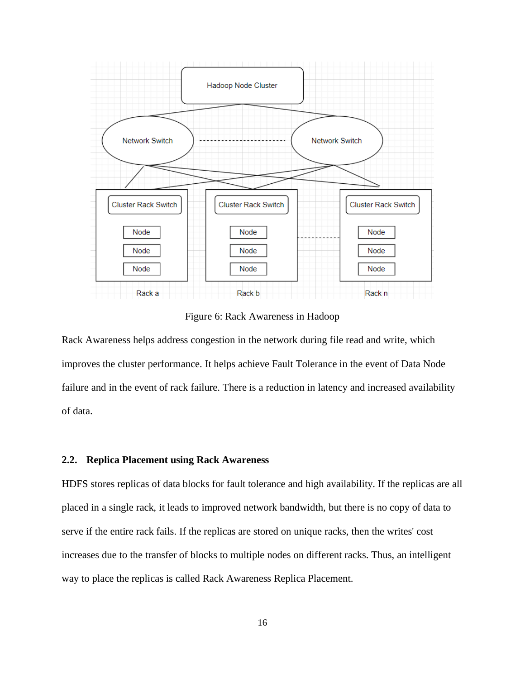

Figure 6: Rack Awareness in Hadoop

<span id="page-23-1"></span>Rack Awareness helps address congestion in the network during file read and write, which improves the cluster performance. It helps achieve Fault Tolerance in the event of Data Node failure and in the event of rack failure. There is a reduction in latency and increased availability of data.

#### <span id="page-23-0"></span>**2.2. Replica Placement using Rack Awareness**

HDFS stores replicas of data blocks for fault tolerance and high availability. If the replicas are all placed in a single rack, it leads to improved network bandwidth, but there is no copy of data to serve if the entire rack fails. If the replicas are stored on unique racks, then the writes' cost increases due to the transfer of blocks to multiple nodes on different racks. Thus, an intelligent way to place the replicas is called Rack Awareness Replica Placement.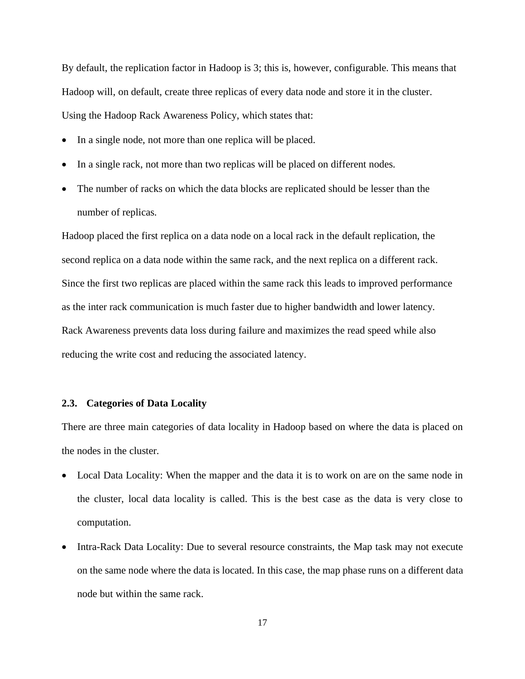By default, the replication factor in Hadoop is 3; this is, however, configurable. This means that Hadoop will, on default, create three replicas of every data node and store it in the cluster. Using the Hadoop Rack Awareness Policy, which states that:

- In a single node, not more than one replica will be placed.
- In a single rack, not more than two replicas will be placed on different nodes.
- The number of racks on which the data blocks are replicated should be lesser than the number of replicas.

Hadoop placed the first replica on a data node on a local rack in the default replication, the second replica on a data node within the same rack, and the next replica on a different rack. Since the first two replicas are placed within the same rack this leads to improved performance as the inter rack communication is much faster due to higher bandwidth and lower latency. Rack Awareness prevents data loss during failure and maximizes the read speed while also reducing the write cost and reducing the associated latency.

#### <span id="page-24-0"></span>**2.3. Categories of Data Locality**

There are three main categories of data locality in Hadoop based on where the data is placed on the nodes in the cluster.

- Local Data Locality: When the mapper and the data it is to work on are on the same node in the cluster, local data locality is called. This is the best case as the data is very close to computation.
- Intra-Rack Data Locality: Due to several resource constraints, the Map task may not execute on the same node where the data is located. In this case, the map phase runs on a different data node but within the same rack.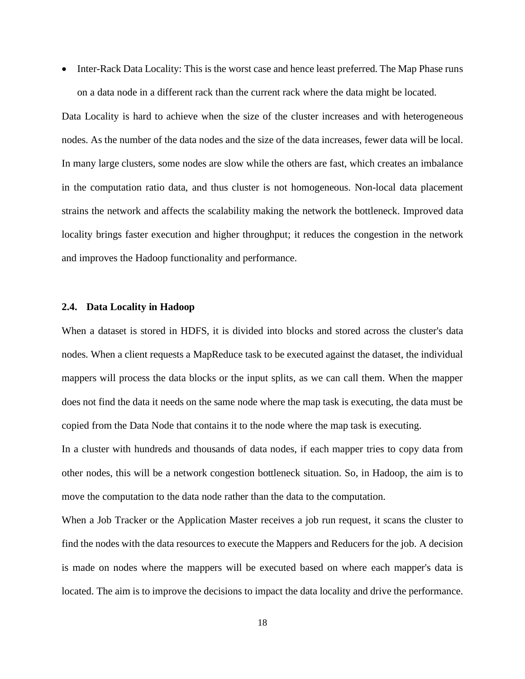• Inter-Rack Data Locality: This is the worst case and hence least preferred. The Map Phase runs on a data node in a different rack than the current rack where the data might be located.

Data Locality is hard to achieve when the size of the cluster increases and with heterogeneous nodes. As the number of the data nodes and the size of the data increases, fewer data will be local. In many large clusters, some nodes are slow while the others are fast, which creates an imbalance in the computation ratio data, and thus cluster is not homogeneous. Non-local data placement strains the network and affects the scalability making the network the bottleneck. Improved data locality brings faster execution and higher throughput; it reduces the congestion in the network and improves the Hadoop functionality and performance.

#### <span id="page-25-0"></span>**2.4. Data Locality in Hadoop**

When a dataset is stored in HDFS, it is divided into blocks and stored across the cluster's data nodes. When a client requests a MapReduce task to be executed against the dataset, the individual mappers will process the data blocks or the input splits, as we can call them. When the mapper does not find the data it needs on the same node where the map task is executing, the data must be copied from the Data Node that contains it to the node where the map task is executing.

In a cluster with hundreds and thousands of data nodes, if each mapper tries to copy data from other nodes, this will be a network congestion bottleneck situation. So, in Hadoop, the aim is to move the computation to the data node rather than the data to the computation.

When a Job Tracker or the Application Master receives a job run request, it scans the cluster to find the nodes with the data resources to execute the Mappers and Reducers for the job. A decision is made on nodes where the mappers will be executed based on where each mapper's data is located. The aim is to improve the decisions to impact the data locality and drive the performance.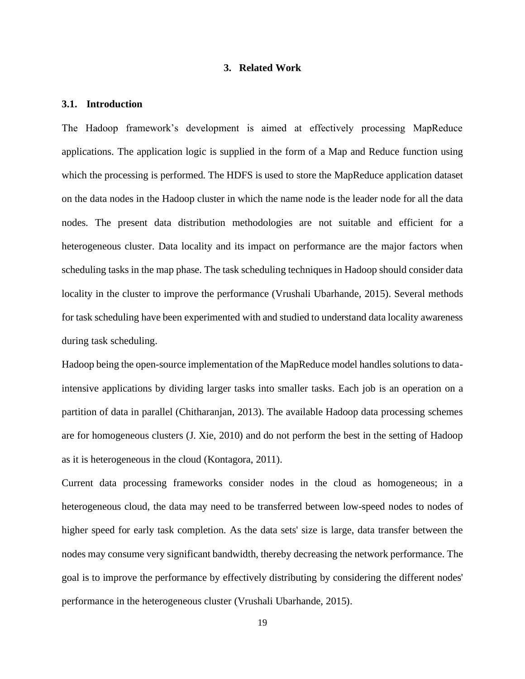#### **3. Related Work**

#### <span id="page-26-1"></span><span id="page-26-0"></span>**3.1. Introduction**

The Hadoop framework's development is aimed at effectively processing MapReduce applications. The application logic is supplied in the form of a Map and Reduce function using which the processing is performed. The HDFS is used to store the MapReduce application dataset on the data nodes in the Hadoop cluster in which the name node is the leader node for all the data nodes. The present data distribution methodologies are not suitable and efficient for a heterogeneous cluster. Data locality and its impact on performance are the major factors when scheduling tasks in the map phase. The task scheduling techniques in Hadoop should consider data locality in the cluster to improve the performance (Vrushali Ubarhande, 2015). Several methods for task scheduling have been experimented with and studied to understand data locality awareness during task scheduling.

Hadoop being the open-source implementation of the MapReduce model handles solutions to dataintensive applications by dividing larger tasks into smaller tasks. Each job is an operation on a partition of data in parallel (Chitharanjan, 2013). The available Hadoop data processing schemes are for homogeneous clusters (J. Xie, 2010) and do not perform the best in the setting of Hadoop as it is heterogeneous in the cloud (Kontagora, 2011).

Current data processing frameworks consider nodes in the cloud as homogeneous; in a heterogeneous cloud, the data may need to be transferred between low-speed nodes to nodes of higher speed for early task completion. As the data sets' size is large, data transfer between the nodes may consume very significant bandwidth, thereby decreasing the network performance. The goal is to improve the performance by effectively distributing by considering the different nodes' performance in the heterogeneous cluster (Vrushali Ubarhande, 2015).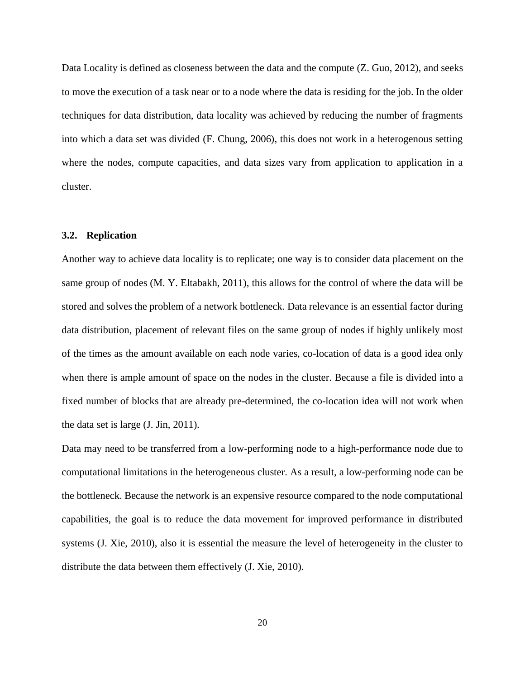Data Locality is defined as closeness between the data and the compute (Z. Guo, 2012), and seeks to move the execution of a task near or to a node where the data is residing for the job. In the older techniques for data distribution, data locality was achieved by reducing the number of fragments into which a data set was divided (F. Chung, 2006), this does not work in a heterogenous setting where the nodes, compute capacities, and data sizes vary from application to application in a cluster.

#### <span id="page-27-0"></span>**3.2. Replication**

Another way to achieve data locality is to replicate; one way is to consider data placement on the same group of nodes (M. Y. Eltabakh, 2011), this allows for the control of where the data will be stored and solves the problem of a network bottleneck. Data relevance is an essential factor during data distribution, placement of relevant files on the same group of nodes if highly unlikely most of the times as the amount available on each node varies, co-location of data is a good idea only when there is ample amount of space on the nodes in the cluster. Because a file is divided into a fixed number of blocks that are already pre-determined, the co-location idea will not work when the data set is large (J. Jin, 2011).

Data may need to be transferred from a low-performing node to a high-performance node due to computational limitations in the heterogeneous cluster. As a result, a low-performing node can be the bottleneck. Because the network is an expensive resource compared to the node computational capabilities, the goal is to reduce the data movement for improved performance in distributed systems (J. Xie, 2010), also it is essential the measure the level of heterogeneity in the cluster to distribute the data between them effectively (J. Xie, 2010).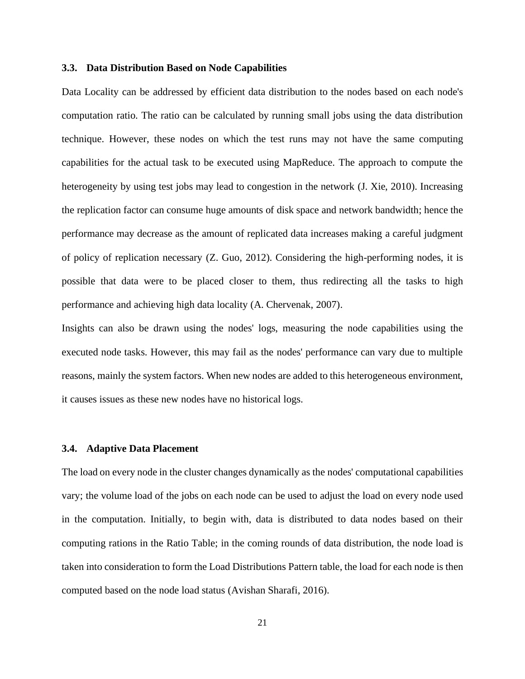#### <span id="page-28-0"></span>**3.3. Data Distribution Based on Node Capabilities**

Data Locality can be addressed by efficient data distribution to the nodes based on each node's computation ratio. The ratio can be calculated by running small jobs using the data distribution technique. However, these nodes on which the test runs may not have the same computing capabilities for the actual task to be executed using MapReduce. The approach to compute the heterogeneity by using test jobs may lead to congestion in the network (J. Xie, 2010). Increasing the replication factor can consume huge amounts of disk space and network bandwidth; hence the performance may decrease as the amount of replicated data increases making a careful judgment of policy of replication necessary (Z. Guo, 2012). Considering the high-performing nodes, it is possible that data were to be placed closer to them, thus redirecting all the tasks to high performance and achieving high data locality (A. Chervenak, 2007).

Insights can also be drawn using the nodes' logs, measuring the node capabilities using the executed node tasks. However, this may fail as the nodes' performance can vary due to multiple reasons, mainly the system factors. When new nodes are added to this heterogeneous environment, it causes issues as these new nodes have no historical logs.

#### <span id="page-28-1"></span>**3.4. Adaptive Data Placement**

The load on every node in the cluster changes dynamically as the nodes' computational capabilities vary; the volume load of the jobs on each node can be used to adjust the load on every node used in the computation. Initially, to begin with, data is distributed to data nodes based on their computing rations in the Ratio Table; in the coming rounds of data distribution, the node load is taken into consideration to form the Load Distributions Pattern table, the load for each node is then computed based on the node load status (Avishan Sharafi, 2016).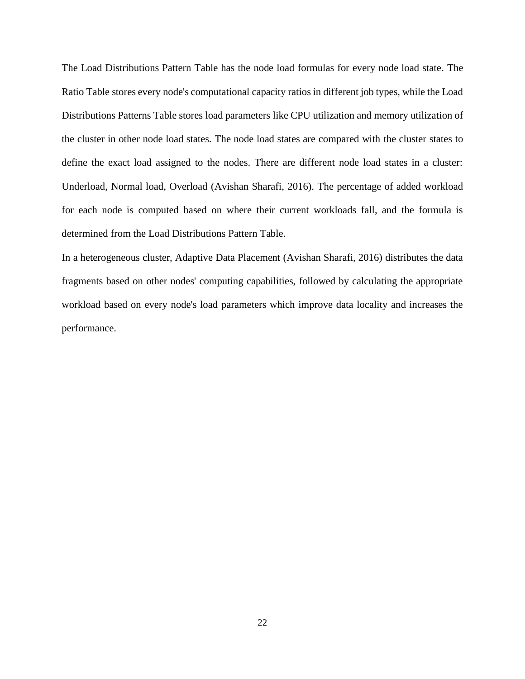The Load Distributions Pattern Table has the node load formulas for every node load state. The Ratio Table stores every node's computational capacity ratios in different job types, while the Load Distributions Patterns Table stores load parameters like CPU utilization and memory utilization of the cluster in other node load states. The node load states are compared with the cluster states to define the exact load assigned to the nodes. There are different node load states in a cluster: Underload, Normal load, Overload (Avishan Sharafi, 2016). The percentage of added workload for each node is computed based on where their current workloads fall, and the formula is determined from the Load Distributions Pattern Table.

In a heterogeneous cluster, Adaptive Data Placement (Avishan Sharafi, 2016) distributes the data fragments based on other nodes' computing capabilities, followed by calculating the appropriate workload based on every node's load parameters which improve data locality and increases the performance.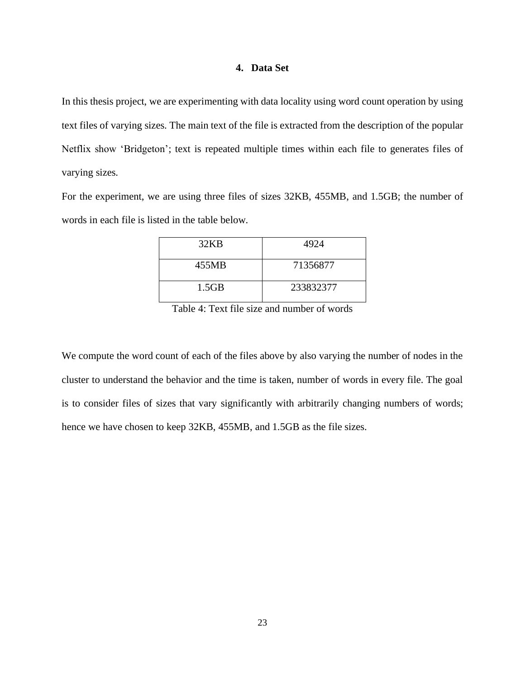#### **4. Data Set**

<span id="page-30-0"></span>In this thesis project, we are experimenting with data locality using word count operation by using text files of varying sizes. The main text of the file is extracted from the description of the popular Netflix show 'Bridgeton'; text is repeated multiple times within each file to generates files of varying sizes.

For the experiment, we are using three files of sizes 32KB, 455MB, and 1.5GB; the number of words in each file is listed in the table below.

| 32KB  | 4924      |
|-------|-----------|
| 455MB | 71356877  |
| 1.5GB | 233832377 |

Table 4: Text file size and number of words

<span id="page-30-1"></span>We compute the word count of each of the files above by also varying the number of nodes in the cluster to understand the behavior and the time is taken, number of words in every file. The goal is to consider files of sizes that vary significantly with arbitrarily changing numbers of words; hence we have chosen to keep 32KB, 455MB, and 1.5GB as the file sizes.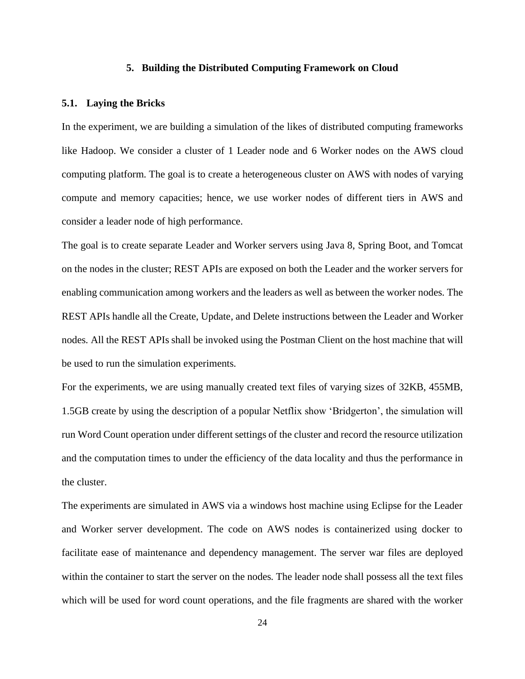#### **5. Building the Distributed Computing Framework on Cloud**

#### <span id="page-31-1"></span><span id="page-31-0"></span>**5.1. Laying the Bricks**

In the experiment, we are building a simulation of the likes of distributed computing frameworks like Hadoop. We consider a cluster of 1 Leader node and 6 Worker nodes on the AWS cloud computing platform. The goal is to create a heterogeneous cluster on AWS with nodes of varying compute and memory capacities; hence, we use worker nodes of different tiers in AWS and consider a leader node of high performance.

The goal is to create separate Leader and Worker servers using Java 8, Spring Boot, and Tomcat on the nodes in the cluster; REST APIs are exposed on both the Leader and the worker servers for enabling communication among workers and the leaders as well as between the worker nodes. The REST APIs handle all the Create, Update, and Delete instructions between the Leader and Worker nodes. All the REST APIs shall be invoked using the Postman Client on the host machine that will be used to run the simulation experiments.

For the experiments, we are using manually created text files of varying sizes of 32KB, 455MB, 1.5GB create by using the description of a popular Netflix show 'Bridgerton', the simulation will run Word Count operation under different settings of the cluster and record the resource utilization and the computation times to under the efficiency of the data locality and thus the performance in the cluster.

The experiments are simulated in AWS via a windows host machine using Eclipse for the Leader and Worker server development. The code on AWS nodes is containerized using docker to facilitate ease of maintenance and dependency management. The server war files are deployed within the container to start the server on the nodes. The leader node shall possess all the text files which will be used for word count operations, and the file fragments are shared with the worker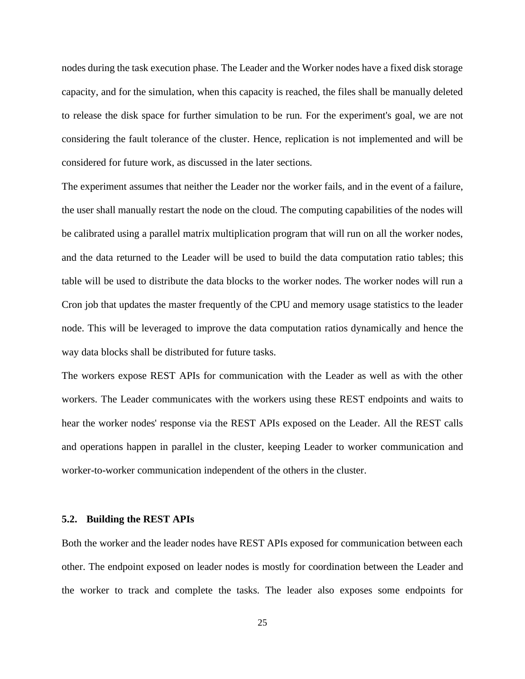nodes during the task execution phase. The Leader and the Worker nodes have a fixed disk storage capacity, and for the simulation, when this capacity is reached, the files shall be manually deleted to release the disk space for further simulation to be run. For the experiment's goal, we are not considering the fault tolerance of the cluster. Hence, replication is not implemented and will be considered for future work, as discussed in the later sections.

The experiment assumes that neither the Leader nor the worker fails, and in the event of a failure, the user shall manually restart the node on the cloud. The computing capabilities of the nodes will be calibrated using a parallel matrix multiplication program that will run on all the worker nodes, and the data returned to the Leader will be used to build the data computation ratio tables; this table will be used to distribute the data blocks to the worker nodes. The worker nodes will run a Cron job that updates the master frequently of the CPU and memory usage statistics to the leader node. This will be leveraged to improve the data computation ratios dynamically and hence the way data blocks shall be distributed for future tasks.

The workers expose REST APIs for communication with the Leader as well as with the other workers. The Leader communicates with the workers using these REST endpoints and waits to hear the worker nodes' response via the REST APIs exposed on the Leader. All the REST calls and operations happen in parallel in the cluster, keeping Leader to worker communication and worker-to-worker communication independent of the others in the cluster.

#### <span id="page-32-0"></span>**5.2. Building the REST APIs**

Both the worker and the leader nodes have REST APIs exposed for communication between each other. The endpoint exposed on leader nodes is mostly for coordination between the Leader and the worker to track and complete the tasks. The leader also exposes some endpoints for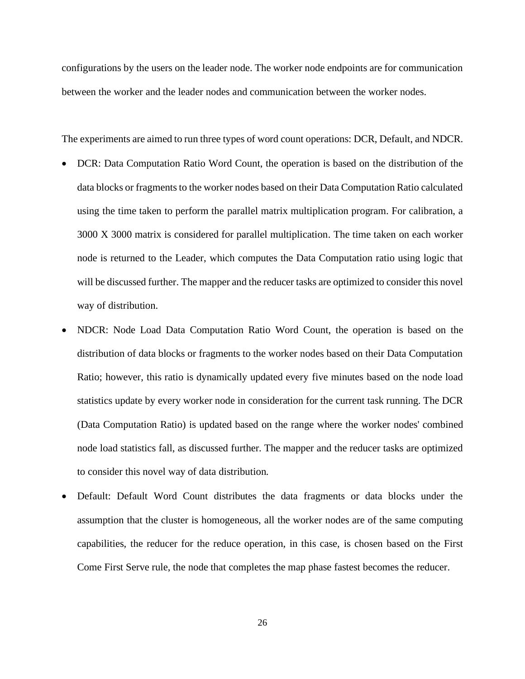configurations by the users on the leader node. The worker node endpoints are for communication between the worker and the leader nodes and communication between the worker nodes.

The experiments are aimed to run three types of word count operations: DCR, Default, and NDCR.

- DCR: Data Computation Ratio Word Count, the operation is based on the distribution of the data blocks or fragments to the worker nodes based on their Data Computation Ratio calculated using the time taken to perform the parallel matrix multiplication program. For calibration, a 3000 X 3000 matrix is considered for parallel multiplication. The time taken on each worker node is returned to the Leader, which computes the Data Computation ratio using logic that will be discussed further. The mapper and the reducer tasks are optimized to consider this novel way of distribution.
- NDCR: Node Load Data Computation Ratio Word Count, the operation is based on the distribution of data blocks or fragments to the worker nodes based on their Data Computation Ratio; however, this ratio is dynamically updated every five minutes based on the node load statistics update by every worker node in consideration for the current task running. The DCR (Data Computation Ratio) is updated based on the range where the worker nodes' combined node load statistics fall, as discussed further. The mapper and the reducer tasks are optimized to consider this novel way of data distribution.
- Default: Default Word Count distributes the data fragments or data blocks under the assumption that the cluster is homogeneous, all the worker nodes are of the same computing capabilities, the reducer for the reduce operation, in this case, is chosen based on the First Come First Serve rule, the node that completes the map phase fastest becomes the reducer.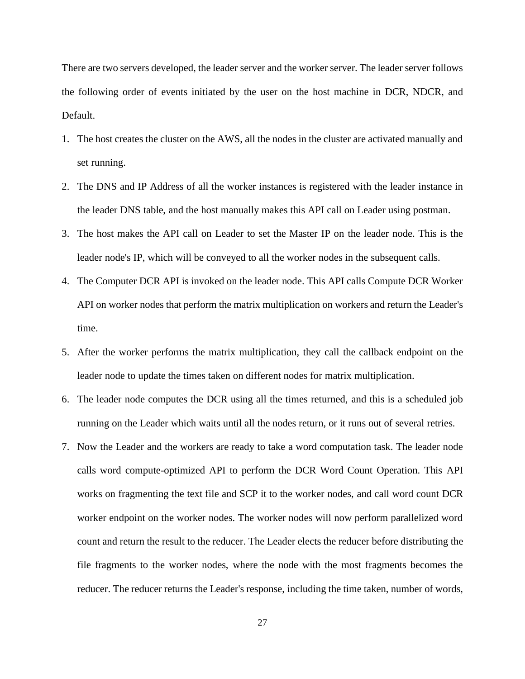There are two servers developed, the leader server and the worker server. The leader server follows the following order of events initiated by the user on the host machine in DCR, NDCR, and Default.

- 1. The host creates the cluster on the AWS, all the nodes in the cluster are activated manually and set running.
- 2. The DNS and IP Address of all the worker instances is registered with the leader instance in the leader DNS table, and the host manually makes this API call on Leader using postman.
- 3. The host makes the API call on Leader to set the Master IP on the leader node. This is the leader node's IP, which will be conveyed to all the worker nodes in the subsequent calls.
- 4. The Computer DCR API is invoked on the leader node. This API calls Compute DCR Worker API on worker nodes that perform the matrix multiplication on workers and return the Leader's time.
- 5. After the worker performs the matrix multiplication, they call the callback endpoint on the leader node to update the times taken on different nodes for matrix multiplication.
- 6. The leader node computes the DCR using all the times returned, and this is a scheduled job running on the Leader which waits until all the nodes return, or it runs out of several retries.
- 7. Now the Leader and the workers are ready to take a word computation task. The leader node calls word compute-optimized API to perform the DCR Word Count Operation. This API works on fragmenting the text file and SCP it to the worker nodes, and call word count DCR worker endpoint on the worker nodes. The worker nodes will now perform parallelized word count and return the result to the reducer. The Leader elects the reducer before distributing the file fragments to the worker nodes, where the node with the most fragments becomes the reducer. The reducer returns the Leader's response, including the time taken, number of words,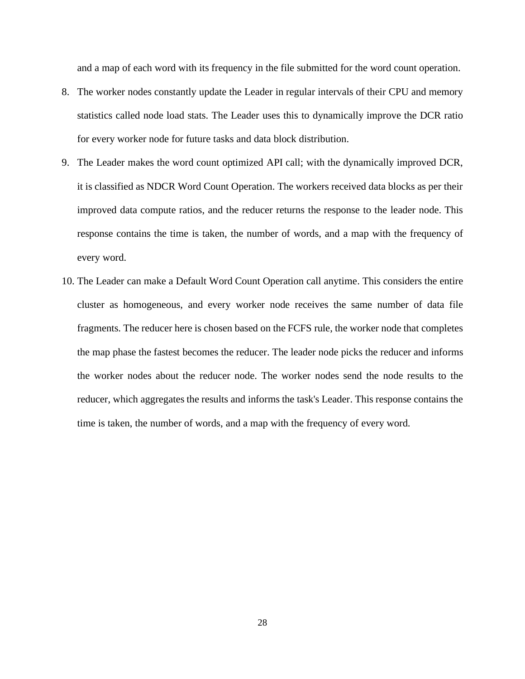and a map of each word with its frequency in the file submitted for the word count operation.

- 8. The worker nodes constantly update the Leader in regular intervals of their CPU and memory statistics called node load stats. The Leader uses this to dynamically improve the DCR ratio for every worker node for future tasks and data block distribution.
- 9. The Leader makes the word count optimized API call; with the dynamically improved DCR, it is classified as NDCR Word Count Operation. The workers received data blocks as per their improved data compute ratios, and the reducer returns the response to the leader node. This response contains the time is taken, the number of words, and a map with the frequency of every word.
- 10. The Leader can make a Default Word Count Operation call anytime. This considers the entire cluster as homogeneous, and every worker node receives the same number of data file fragments. The reducer here is chosen based on the FCFS rule, the worker node that completes the map phase the fastest becomes the reducer. The leader node picks the reducer and informs the worker nodes about the reducer node. The worker nodes send the node results to the reducer, which aggregates the results and informs the task's Leader. This response contains the time is taken, the number of words, and a map with the frequency of every word.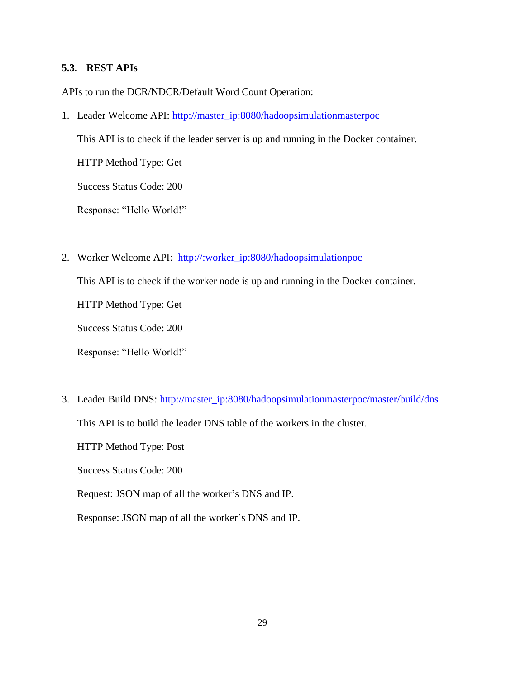## <span id="page-36-0"></span>**5.3. REST APIs**

APIs to run the DCR/NDCR/Default Word Count Operation:

1. Leader Welcome API: [http://master\\_ip:8080/hadoopsimulationmasterpoc](http://master_ip:8080/hadoopsimulationmasterpoc)

This API is to check if the leader server is up and running in the Docker container.

HTTP Method Type: Get

Success Status Code: 200

Response: "Hello World!"

2. Worker Welcome API: http://:worker\_ip:8080/hadoopsimulationpoc

This API is to check if the worker node is up and running in the Docker container.

HTTP Method Type: Get

Success Status Code: 200

Response: "Hello World!"

3. Leader Build DNS: [http://master\\_ip:8080/hadoopsimulationmasterpoc/master/build/dns](http://master_ip:8080/hadoopsimulationmasterpoc/master/build/dns)

This API is to build the leader DNS table of the workers in the cluster.

HTTP Method Type: Post

Success Status Code: 200

Request: JSON map of all the worker's DNS and IP.

Response: JSON map of all the worker's DNS and IP.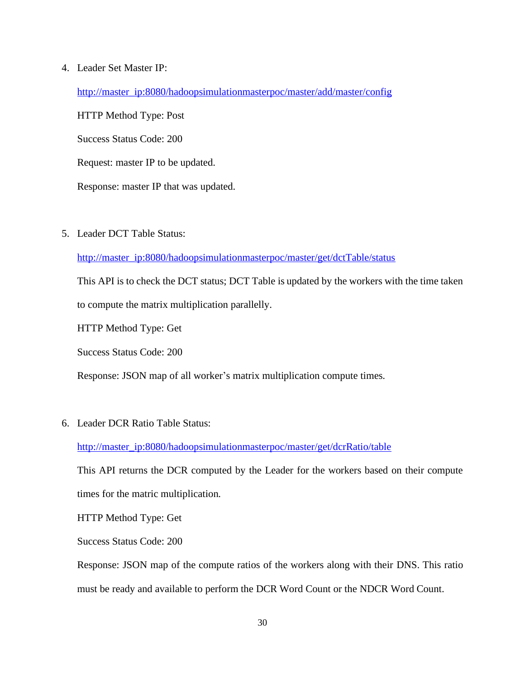#### 4. Leader Set Master IP:

[http://master\\_ip:8080/hadoopsimulationmasterpoc/master/add/master/config](http://master_ip:8080/hadoopsimulationmasterpoc/master/add/master/config)

HTTP Method Type: Post Success Status Code: 200 Request: master IP to be updated. Response: master IP that was updated.

5. Leader DCT Table Status:

[http://master\\_ip:8080/hadoopsimulationmasterpoc/master/get/dctTable/status](http://master_ip:8080/hadoopsimulationmasterpoc/master/get/dctTable/status)

This API is to check the DCT status; DCT Table is updated by the workers with the time taken to compute the matrix multiplication parallelly.

HTTP Method Type: Get

Success Status Code: 200

Response: JSON map of all worker's matrix multiplication compute times.

6. Leader DCR Ratio Table Status:

#### [http://master\\_ip:8080/hadoopsimulationmasterpoc/master/get/dcrRatio/table](http://master_ip:8080/hadoopsimulationmasterpoc/master/get/dcrRatio/table)

This API returns the DCR computed by the Leader for the workers based on their compute times for the matric multiplication.

HTTP Method Type: Get

Success Status Code: 200

Response: JSON map of the compute ratios of the workers along with their DNS. This ratio must be ready and available to perform the DCR Word Count or the NDCR Word Count.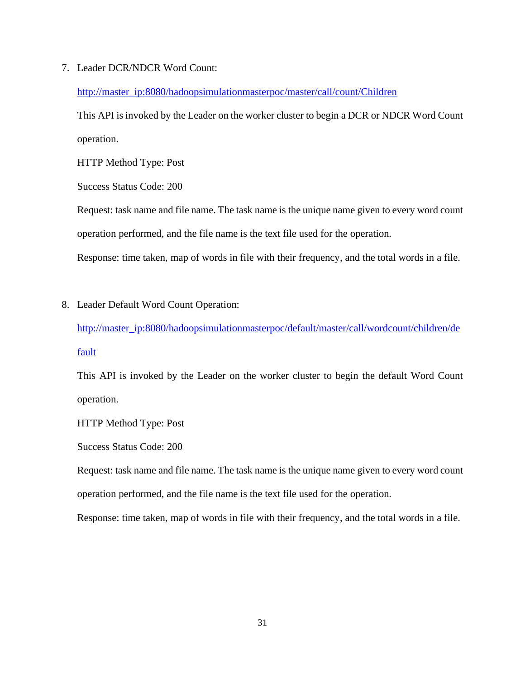7. Leader DCR/NDCR Word Count:

[http://master\\_ip:8080/hadoopsimulationmasterpoc/master/call/count/Children](http://master_ip:8080/hadoopsimulationmasterpoc/master/call/count/Children)

This API is invoked by the Leader on the worker cluster to begin a DCR or NDCR Word Count operation.

HTTP Method Type: Post

Success Status Code: 200

Request: task name and file name. The task name is the unique name given to every word count operation performed, and the file name is the text file used for the operation.

Response: time taken, map of words in file with their frequency, and the total words in a file.

8. Leader Default Word Count Operation:

[http://master\\_ip:8080/hadoopsimulationmasterpoc/default/master/call/wordcount/children/de](http://master_ip:8080/hadoopsimulationmasterpoc/default/master/call/wordcount/children/default) [fault](http://master_ip:8080/hadoopsimulationmasterpoc/default/master/call/wordcount/children/default)

This API is invoked by the Leader on the worker cluster to begin the default Word Count operation.

HTTP Method Type: Post

Success Status Code: 200

Request: task name and file name. The task name is the unique name given to every word count operation performed, and the file name is the text file used for the operation.

Response: time taken, map of words in file with their frequency, and the total words in a file.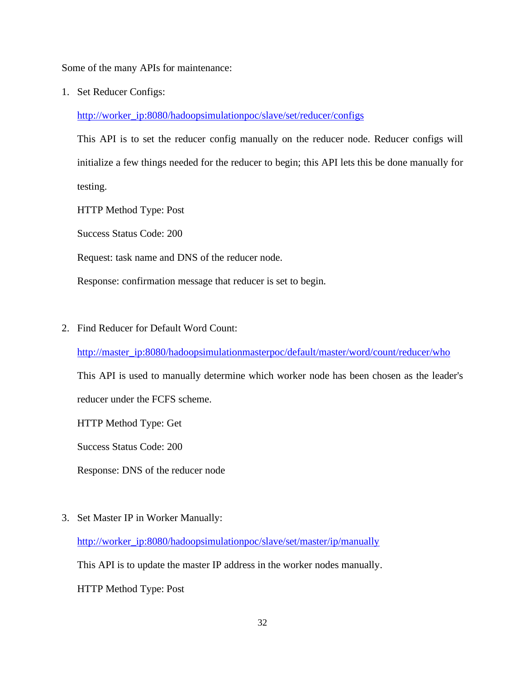Some of the many APIs for maintenance:

1. Set Reducer Configs:

[http://worker\\_ip:8080/hadoopsimulationpoc/slave/set/reducer/configs](http://worker_ip:8080/hadoopsimulationpoc/slave/set/reducer/configs)

This API is to set the reducer config manually on the reducer node. Reducer configs will initialize a few things needed for the reducer to begin; this API lets this be done manually for testing.

HTTP Method Type: Post

Success Status Code: 200

Request: task name and DNS of the reducer node.

Response: confirmation message that reducer is set to begin.

2. Find Reducer for Default Word Count:

[http://master\\_ip:8080/hadoopsimulationmasterpoc/default/master/word/count/reducer/who](http://master_ip:8080/hadoopsimulationmasterpoc/default/master/word/count/reducer/who)

This API is used to manually determine which worker node has been chosen as the leader's reducer under the FCFS scheme.

HTTP Method Type: Get

Success Status Code: 200

Response: DNS of the reducer node

3. Set Master IP in Worker Manually:

[http://worker\\_ip:8080/hadoopsimulationpoc/slave/set/master/ip/manually](http://worker_ip:8080/hadoopsimulationpoc/slave/set/master/ip/manually)

This API is to update the master IP address in the worker nodes manually.

HTTP Method Type: Post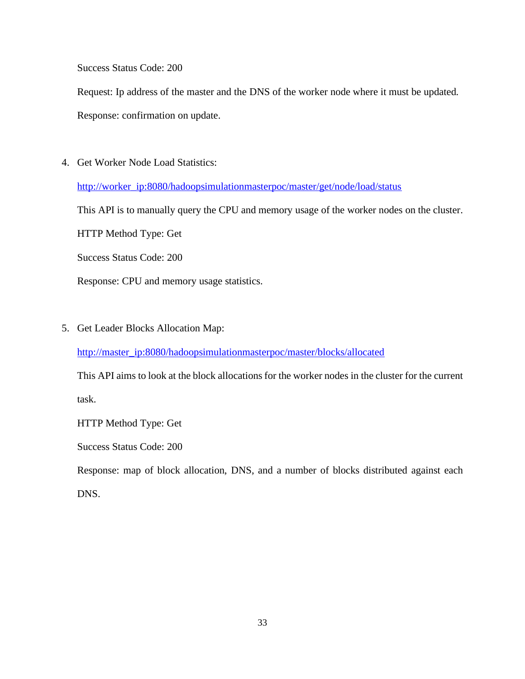Success Status Code: 200

Request: Ip address of the master and the DNS of the worker node where it must be updated. Response: confirmation on update.

4. Get Worker Node Load Statistics:

[http://worker\\_ip:8080/hadoopsimulationmasterpoc/master/get/node/load/status](http://worker_ip:8080/hadoopsimulationmasterpoc/master/get/node/load/status)

This API is to manually query the CPU and memory usage of the worker nodes on the cluster.

HTTP Method Type: Get

Success Status Code: 200

Response: CPU and memory usage statistics.

5. Get Leader Blocks Allocation Map:

[http://master\\_ip:8080/hadoopsimulationmasterpoc/master/blocks/allocated](http://master_ip:8080/hadoopsimulationmasterpoc/master/blocks/allocated)

This API aims to look at the block allocations for the worker nodes in the cluster for the current task.

HTTP Method Type: Get

Success Status Code: 200

Response: map of block allocation, DNS, and a number of blocks distributed against each DNS.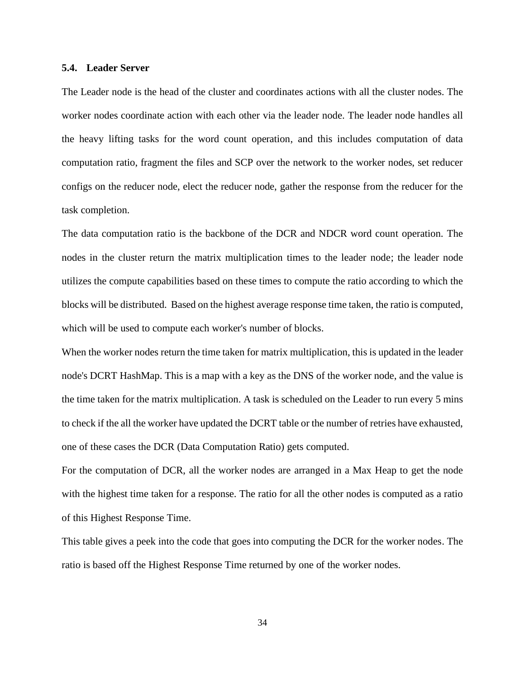#### <span id="page-41-0"></span>**5.4. Leader Server**

The Leader node is the head of the cluster and coordinates actions with all the cluster nodes. The worker nodes coordinate action with each other via the leader node. The leader node handles all the heavy lifting tasks for the word count operation, and this includes computation of data computation ratio, fragment the files and SCP over the network to the worker nodes, set reducer configs on the reducer node, elect the reducer node, gather the response from the reducer for the task completion.

The data computation ratio is the backbone of the DCR and NDCR word count operation. The nodes in the cluster return the matrix multiplication times to the leader node; the leader node utilizes the compute capabilities based on these times to compute the ratio according to which the blocks will be distributed. Based on the highest average response time taken, the ratio is computed, which will be used to compute each worker's number of blocks.

When the worker nodes return the time taken for matrix multiplication, this is updated in the leader node's DCRT HashMap. This is a map with a key as the DNS of the worker node, and the value is the time taken for the matrix multiplication. A task is scheduled on the Leader to run every 5 mins to check if the all the worker have updated the DCRT table or the number of retries have exhausted, one of these cases the DCR (Data Computation Ratio) gets computed.

For the computation of DCR, all the worker nodes are arranged in a Max Heap to get the node with the highest time taken for a response. The ratio for all the other nodes is computed as a ratio of this Highest Response Time.

This table gives a peek into the code that goes into computing the DCR for the worker nodes. The ratio is based off the Highest Response Time returned by one of the worker nodes.

34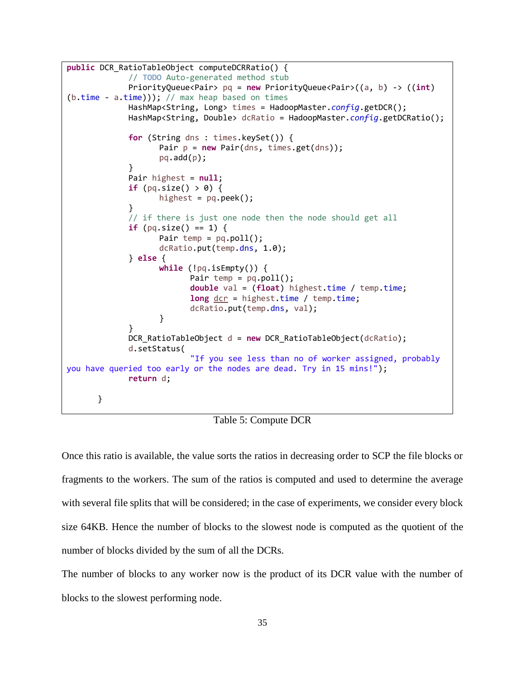```
public DCR_RatioTableObject computeDCRRatio() {
             // TODO Auto-generated method stub
             PriorityQueue<Pair> pq = new PriorityQueue<Pair>((a, b) -> ((int) 
(b.time - a.time)); // max heap based on times
             HashMap<String, Long> times = HadoopMaster.config.getDCR();
             HashMap<String, Double> dcRatio = HadoopMaster.config.getDCRatio();
             for (String dns : times.keySet()) {
                   Pair p = new Pair(dns, times.get(dns));pq.add(p);}
             Pair highest = null;
             if (pq.size() > 0) {
                   highest = pq.peek();
             }
             // if there is just one node then the node should get all
             if (pq.size() == 1) {
                   Pair temp = pq.poll();
                   dcRatio.put(temp.dns, 1.0);
             } else {
                   while (!pq.isEmpty()) {
                          Pair temp = pq.poll();
                          double val = (float) highest.time / temp.time;
                          long dcr = highest.time / temp.time;
                          dcRatio.put(temp.dns, val);
                   }
             }
             DCR_RatioTableObject d = new DCR_RatioTableObject(dcRatio);
             d.setStatus(
                           "If you see less than no of worker assigned, probably 
you have queried too early or the nodes are dead. Try in 15 mins!");
             return d;
      }
```
#### Table 5: Compute DCR

<span id="page-42-0"></span>Once this ratio is available, the value sorts the ratios in decreasing order to SCP the file blocks or fragments to the workers. The sum of the ratios is computed and used to determine the average with several file splits that will be considered; in the case of experiments, we consider every block size 64KB. Hence the number of blocks to the slowest node is computed as the quotient of the number of blocks divided by the sum of all the DCRs.

The number of blocks to any worker now is the product of its DCR value with the number of blocks to the slowest performing node.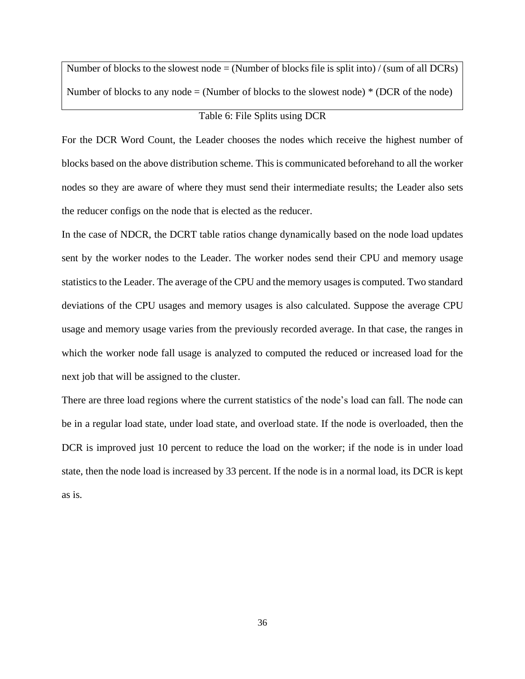Number of blocks to the slowest node = (Number of blocks file is split into) / (sum of all DCRs) Number of blocks to any node  $=$  (Number of blocks to the slowest node)  $*$  (DCR of the node)

# Table 6: File Splits using DCR

<span id="page-43-0"></span>For the DCR Word Count, the Leader chooses the nodes which receive the highest number of blocks based on the above distribution scheme. This is communicated beforehand to all the worker nodes so they are aware of where they must send their intermediate results; the Leader also sets the reducer configs on the node that is elected as the reducer.

In the case of NDCR, the DCRT table ratios change dynamically based on the node load updates sent by the worker nodes to the Leader. The worker nodes send their CPU and memory usage statistics to the Leader. The average of the CPU and the memory usages is computed. Two standard deviations of the CPU usages and memory usages is also calculated. Suppose the average CPU usage and memory usage varies from the previously recorded average. In that case, the ranges in which the worker node fall usage is analyzed to computed the reduced or increased load for the next job that will be assigned to the cluster.

There are three load regions where the current statistics of the node's load can fall. The node can be in a regular load state, under load state, and overload state. If the node is overloaded, then the DCR is improved just 10 percent to reduce the load on the worker; if the node is in under load state, then the node load is increased by 33 percent. If the node is in a normal load, its DCR is kept as is.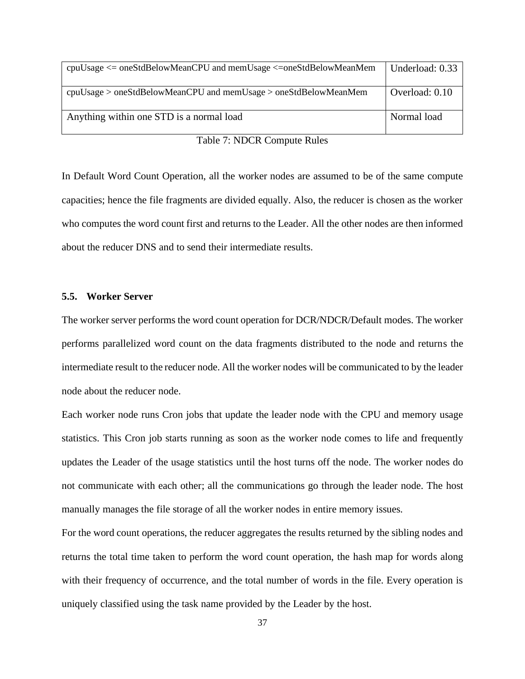| $cpuUsage \leq oneStdBelowMeanCPU$ and memUsage $\leq$ oneStdBelowMeanMem | Underload: 0.33 |
|---------------------------------------------------------------------------|-----------------|
| $cpuUsage > oneStdBelowMeanCPU$ and $memUsage > oneStdBelowMeanMen$       | Overload: 0.10  |
| Anything within one STD is a normal load                                  | Normal load     |

| Table 7: NDCR Compute Rules |
|-----------------------------|
|-----------------------------|

<span id="page-44-1"></span>In Default Word Count Operation, all the worker nodes are assumed to be of the same compute capacities; hence the file fragments are divided equally. Also, the reducer is chosen as the worker who computes the word count first and returns to the Leader. All the other nodes are then informed about the reducer DNS and to send their intermediate results.

#### <span id="page-44-0"></span>**5.5. Worker Server**

The worker server performs the word count operation for DCR/NDCR/Default modes. The worker performs parallelized word count on the data fragments distributed to the node and returns the intermediate result to the reducer node. All the worker nodes will be communicated to by the leader node about the reducer node.

Each worker node runs Cron jobs that update the leader node with the CPU and memory usage statistics. This Cron job starts running as soon as the worker node comes to life and frequently updates the Leader of the usage statistics until the host turns off the node. The worker nodes do not communicate with each other; all the communications go through the leader node. The host manually manages the file storage of all the worker nodes in entire memory issues.

For the word count operations, the reducer aggregates the results returned by the sibling nodes and returns the total time taken to perform the word count operation, the hash map for words along with their frequency of occurrence, and the total number of words in the file. Every operation is uniquely classified using the task name provided by the Leader by the host.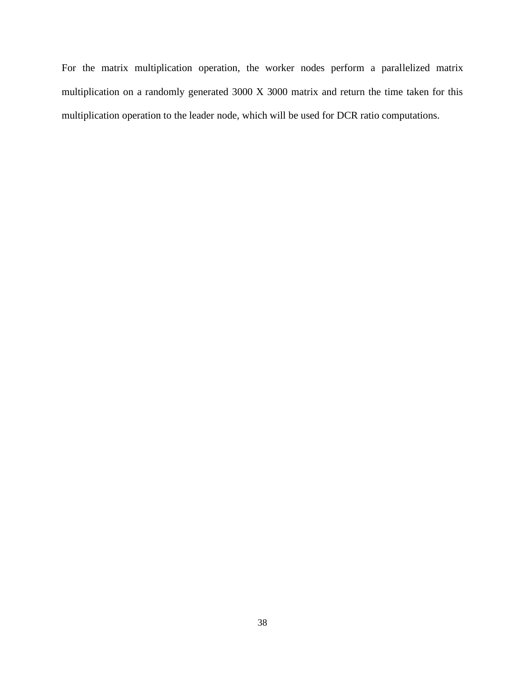For the matrix multiplication operation, the worker nodes perform a parallelized matrix multiplication on a randomly generated 3000 X 3000 matrix and return the time taken for this multiplication operation to the leader node, which will be used for DCR ratio computations.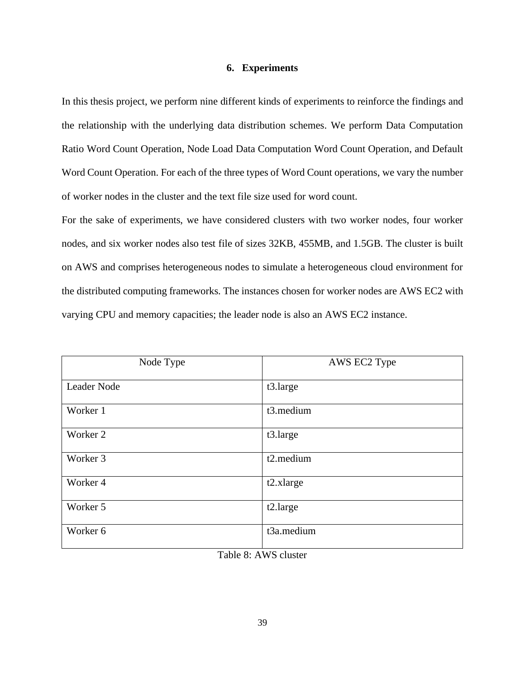#### **6. Experiments**

<span id="page-46-0"></span>In this thesis project, we perform nine different kinds of experiments to reinforce the findings and the relationship with the underlying data distribution schemes. We perform Data Computation Ratio Word Count Operation, Node Load Data Computation Word Count Operation, and Default Word Count Operation. For each of the three types of Word Count operations, we vary the number of worker nodes in the cluster and the text file size used for word count.

For the sake of experiments, we have considered clusters with two worker nodes, four worker nodes, and six worker nodes also test file of sizes 32KB, 455MB, and 1.5GB. The cluster is built on AWS and comprises heterogeneous nodes to simulate a heterogeneous cloud environment for the distributed computing frameworks. The instances chosen for worker nodes are AWS EC2 with varying CPU and memory capacities; the leader node is also an AWS EC2 instance.

| Node Type   | AWS EC2 Type |
|-------------|--------------|
| Leader Node | t3.large     |
| Worker 1    | t3.medium    |
| Worker 2    | t3.large     |
| Worker 3    | t2.medium    |
| Worker 4    | $t2$ .xlarge |
| Worker 5    | t2.large     |
| Worker 6    | t3a.medium   |

<span id="page-46-1"></span>Table 8: AWS cluster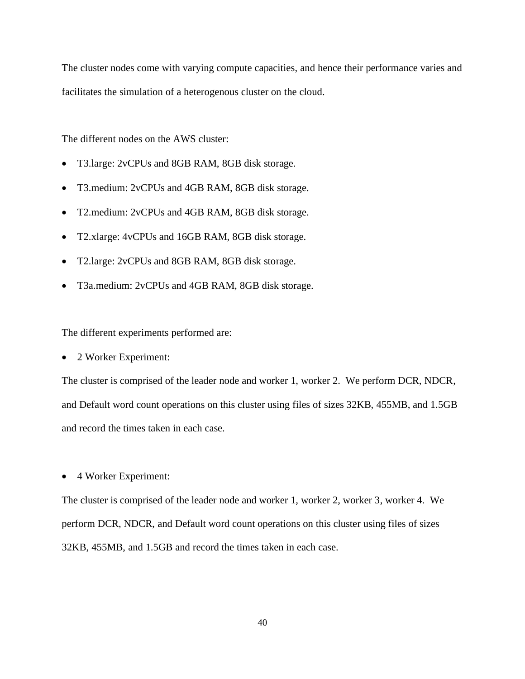The cluster nodes come with varying compute capacities, and hence their performance varies and facilitates the simulation of a heterogenous cluster on the cloud.

The different nodes on the AWS cluster:

- T3.large: 2vCPUs and 8GB RAM, 8GB disk storage.
- T3.medium: 2vCPUs and 4GB RAM, 8GB disk storage.
- T2.medium: 2vCPUs and 4GB RAM, 8GB disk storage.
- T2.xlarge: 4vCPUs and 16GB RAM, 8GB disk storage.
- T2.large: 2vCPUs and 8GB RAM, 8GB disk storage.
- T3a.medium: 2vCPUs and 4GB RAM, 8GB disk storage.

The different experiments performed are:

• 2 Worker Experiment:

The cluster is comprised of the leader node and worker 1, worker 2. We perform DCR, NDCR, and Default word count operations on this cluster using files of sizes 32KB, 455MB, and 1.5GB and record the times taken in each case.

• 4 Worker Experiment:

The cluster is comprised of the leader node and worker 1, worker 2, worker 3, worker 4. We perform DCR, NDCR, and Default word count operations on this cluster using files of sizes 32KB, 455MB, and 1.5GB and record the times taken in each case.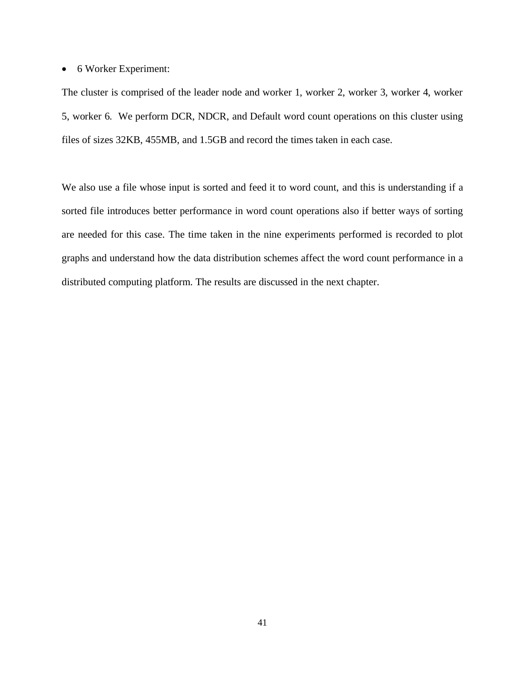• 6 Worker Experiment:

The cluster is comprised of the leader node and worker 1, worker 2, worker 3, worker 4, worker 5, worker 6. We perform DCR, NDCR, and Default word count operations on this cluster using files of sizes 32KB, 455MB, and 1.5GB and record the times taken in each case.

We also use a file whose input is sorted and feed it to word count, and this is understanding if a sorted file introduces better performance in word count operations also if better ways of sorting are needed for this case. The time taken in the nine experiments performed is recorded to plot graphs and understand how the data distribution schemes affect the word count performance in a distributed computing platform. The results are discussed in the next chapter.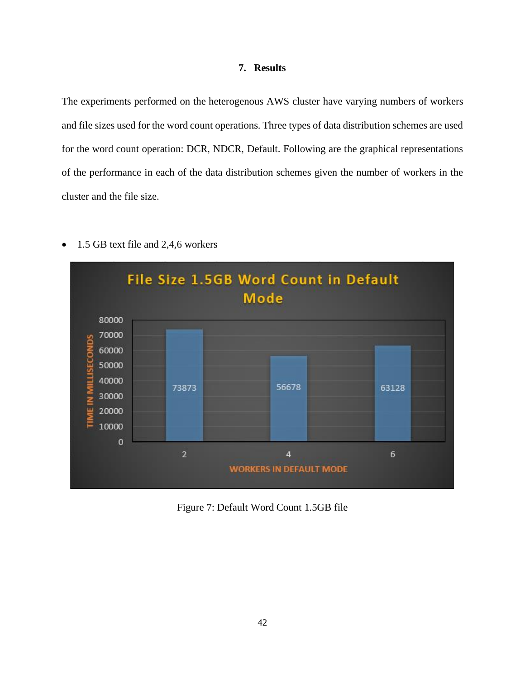### **7. Results**

<span id="page-49-0"></span>The experiments performed on the heterogenous AWS cluster have varying numbers of workers and file sizes used for the word count operations. Three types of data distribution schemes are used for the word count operation: DCR, NDCR, Default. Following are the graphical representations of the performance in each of the data distribution schemes given the number of workers in the cluster and the file size.



• 1.5 GB text file and 2,4,6 workers

<span id="page-49-1"></span>Figure 7: Default Word Count 1.5GB file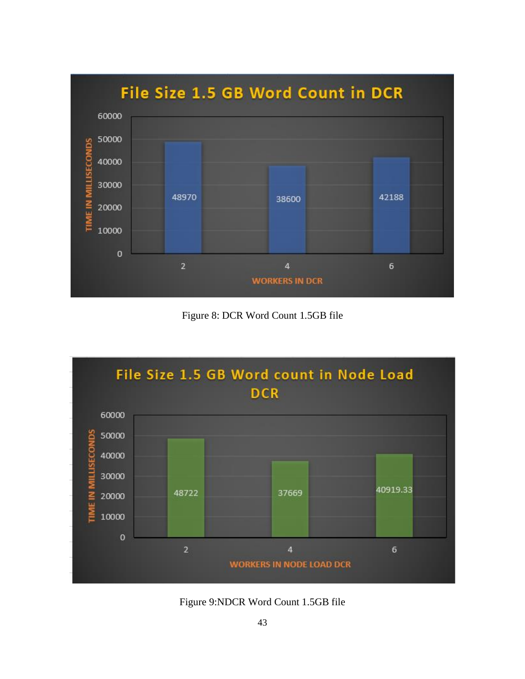

Figure 8: DCR Word Count 1.5GB file

<span id="page-50-0"></span>

<span id="page-50-1"></span>Figure 9:NDCR Word Count 1.5GB file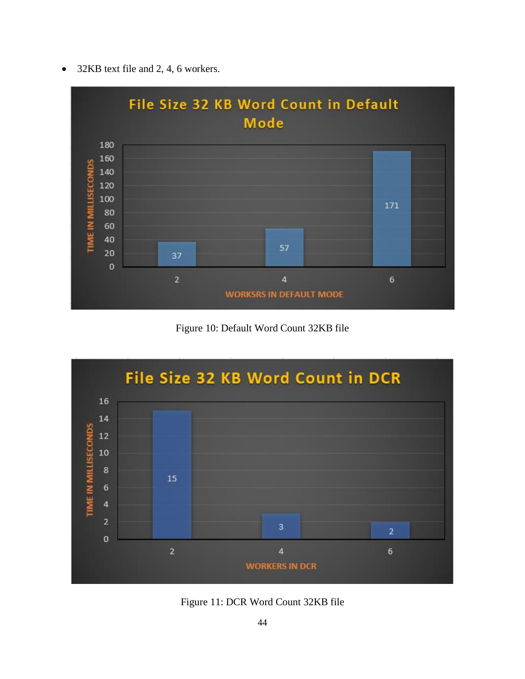• 32KB text file and 2, 4, 6 workers.



Figure 10: Default Word Count 32KB file

<span id="page-51-0"></span>

<span id="page-51-1"></span>Figure 11: DCR Word Count 32KB file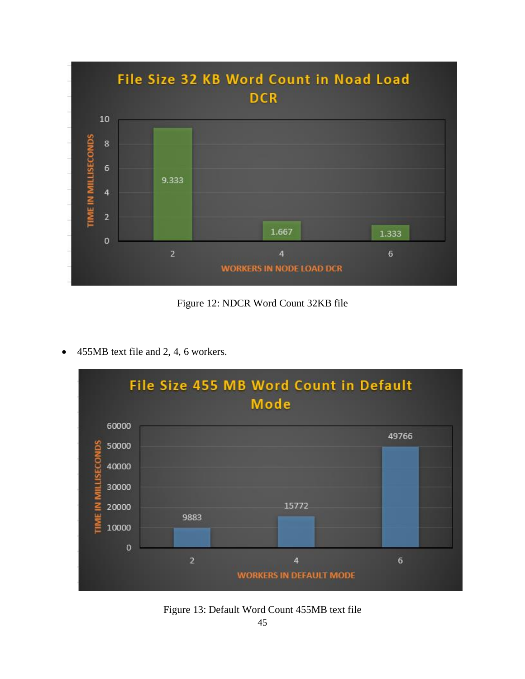

Figure 12: NDCR Word Count 32KB file

<span id="page-52-0"></span>• 455MB text file and 2, 4, 6 workers.



<span id="page-52-1"></span>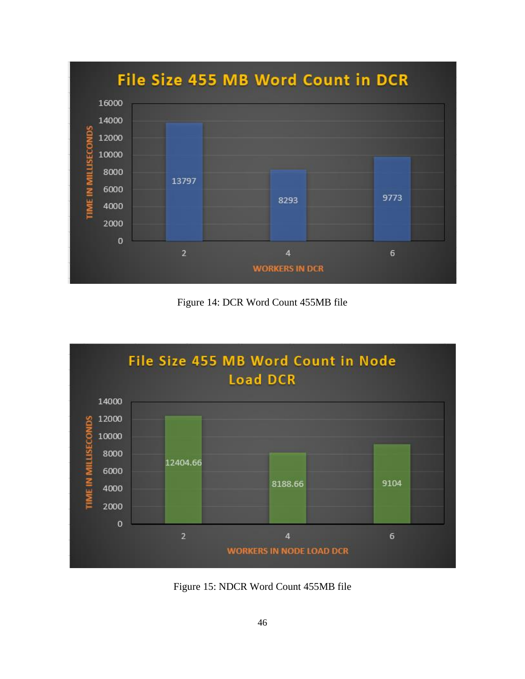

Figure 14: DCR Word Count 455MB file

<span id="page-53-0"></span>

<span id="page-53-1"></span>Figure 15: NDCR Word Count 455MB file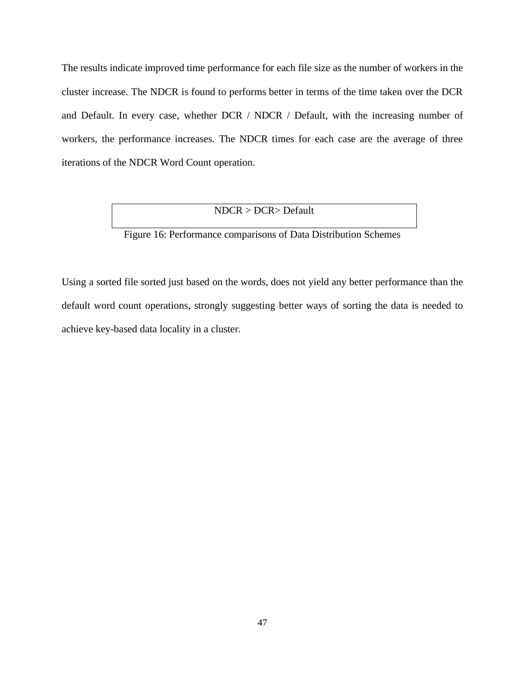The results indicate improved time performance for each file size as the number of workers in the cluster increase. The NDCR is found to performs better in terms of the time taken over the DCR and Default. In every case, whether DCR / NDCR / Default, with the increasing number of workers, the performance increases. The NDCR times for each case are the average of three iterations of the NDCR Word Count operation.

## NDCR > DCR> Default

# Figure 16: Performance comparisons of Data Distribution Schemes

<span id="page-54-0"></span>Using a sorted file sorted just based on the words, does not yield any better performance than the default word count operations, strongly suggesting better ways of sorting the data is needed to achieve key-based data locality in a cluster.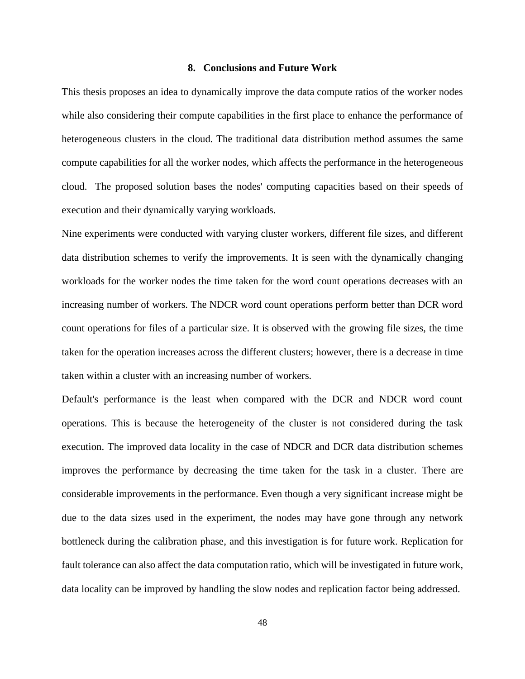#### **8. Conclusions and Future Work**

<span id="page-55-0"></span>This thesis proposes an idea to dynamically improve the data compute ratios of the worker nodes while also considering their compute capabilities in the first place to enhance the performance of heterogeneous clusters in the cloud. The traditional data distribution method assumes the same compute capabilities for all the worker nodes, which affects the performance in the heterogeneous cloud. The proposed solution bases the nodes' computing capacities based on their speeds of execution and their dynamically varying workloads.

Nine experiments were conducted with varying cluster workers, different file sizes, and different data distribution schemes to verify the improvements. It is seen with the dynamically changing workloads for the worker nodes the time taken for the word count operations decreases with an increasing number of workers. The NDCR word count operations perform better than DCR word count operations for files of a particular size. It is observed with the growing file sizes, the time taken for the operation increases across the different clusters; however, there is a decrease in time taken within a cluster with an increasing number of workers.

Default's performance is the least when compared with the DCR and NDCR word count operations. This is because the heterogeneity of the cluster is not considered during the task execution. The improved data locality in the case of NDCR and DCR data distribution schemes improves the performance by decreasing the time taken for the task in a cluster. There are considerable improvements in the performance. Even though a very significant increase might be due to the data sizes used in the experiment, the nodes may have gone through any network bottleneck during the calibration phase, and this investigation is for future work. Replication for fault tolerance can also affect the data computation ratio, which will be investigated in future work, data locality can be improved by handling the slow nodes and replication factor being addressed.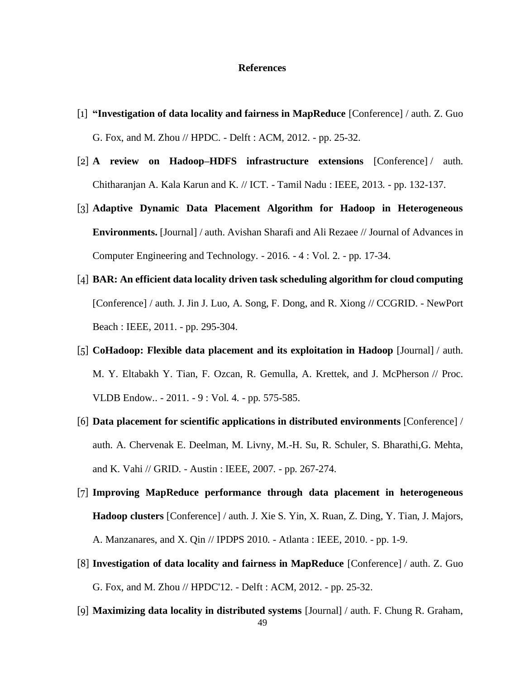#### **References**

- <span id="page-56-0"></span>[1] **"Investigation of data locality and fairness in MapReduce** [Conference] / auth. Z. Guo G. Fox, and M. Zhou // HPDC. - Delft : ACM, 2012. - pp. 25-32.
- [2] **A review on Hadoop–HDFS infrastructure extensions** [Conference] / auth. Chitharanjan A. Kala Karun and K. // ICT. - Tamil Nadu : IEEE, 2013. - pp. 132-137.
- [3] **Adaptive Dynamic Data Placement Algorithm for Hadoop in Heterogeneous Environments.** [Journal] / auth. Avishan Sharafi and Ali Rezaee // Journal of Advances in Computer Engineering and Technology. - 2016. - 4 : Vol. 2. - pp. 17-34.
- [4] **BAR: An efficient data locality driven task scheduling algorithm for cloud computing** [Conference] / auth. J. Jin J. Luo, A. Song, F. Dong, and R. Xiong // CCGRID. - NewPort Beach : IEEE, 2011. - pp. 295-304.
- [5] **CoHadoop: Flexible data placement and its exploitation in Hadoop** [Journal] / auth. M. Y. Eltabakh Y. Tian, F. Ozcan, R. Gemulla, A. Krettek, and J. McPherson // Proc. VLDB Endow.. - 2011. - 9 : Vol. 4. - pp. 575-585.
- [6] **Data placement for scientific applications in distributed environments** [Conference] / auth. A. Chervenak E. Deelman, M. Livny, M.-H. Su, R. Schuler, S. Bharathi,G. Mehta, and K. Vahi // GRID. - Austin : IEEE, 2007. - pp. 267-274.
- [7] **Improving MapReduce performance through data placement in heterogeneous Hadoop clusters** [Conference] / auth. J. Xie S. Yin, X. Ruan, Z. Ding, Y. Tian, J. Majors, A. Manzanares, and X. Qin // IPDPS 2010. - Atlanta : IEEE, 2010. - pp. 1-9.
- [8] **Investigation of data locality and fairness in MapReduce** [Conference] / auth. Z. Guo G. Fox, and M. Zhou // HPDC'12. - Delft : ACM, 2012. - pp. 25-32.
- 49 [9] **Maximizing data locality in distributed systems** [Journal] / auth. F. Chung R. Graham,